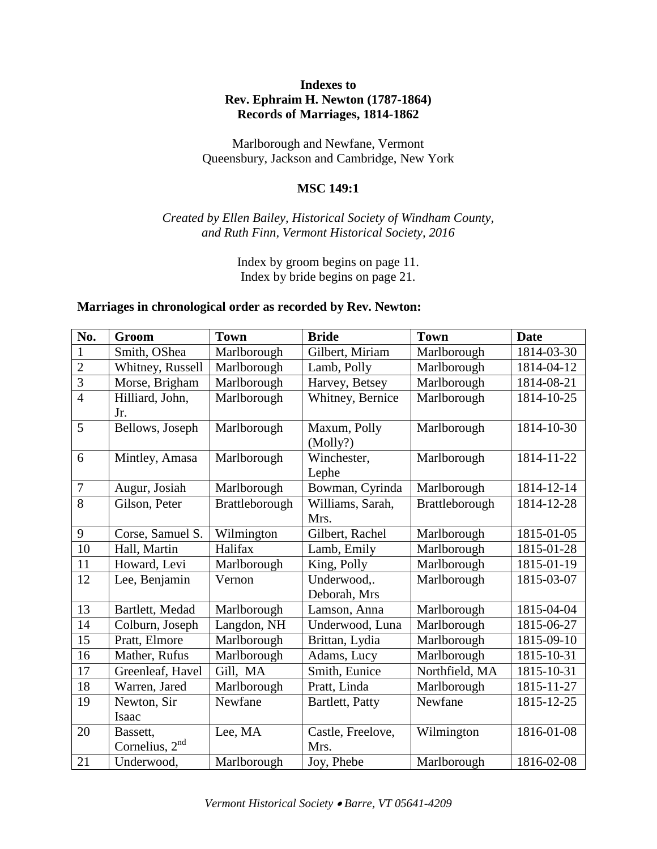## **Indexes to Rev. Ephraim H. Newton (1787-1864) Records of Marriages, 1814-1862**

Marlborough and Newfane, Vermont Queensbury, Jackson and Cambridge, New York

### **MSC 149:1**

## *Created by Ellen Bailey, Historical Society of Windham County, and Ruth Finn, Vermont Historical Society, 2016*

Index by groom begins on page 11. Index by bride begins on page 21.

#### **Marriages in chronological order as recorded by Rev. Newton:**

| No.            | Groom                        | <b>Town</b>    | <b>Bride</b>                | <b>Town</b>    | <b>Date</b> |
|----------------|------------------------------|----------------|-----------------------------|----------------|-------------|
|                | Smith, OShea                 | Marlborough    | Gilbert, Miriam             | Marlborough    | 1814-03-30  |
| $\overline{2}$ | Whitney, Russell             | Marlborough    | Lamb, Polly                 | Marlborough    | 1814-04-12  |
| $\overline{3}$ | Morse, Brigham               | Marlborough    | Harvey, Betsey              | Marlborough    | 1814-08-21  |
| $\overline{4}$ | Hilliard, John,<br>Jr.       | Marlborough    | Whitney, Bernice            | Marlborough    | 1814-10-25  |
| $\overline{5}$ | Bellows, Joseph              | Marlborough    | Maxum, Polly<br>(Molly?)    | Marlborough    | 1814-10-30  |
| 6              | Mintley, Amasa               | Marlborough    | Winchester,<br>Lephe        | Marlborough    | 1814-11-22  |
| $\overline{7}$ | Augur, Josiah                | Marlborough    | Bowman, Cyrinda             | Marlborough    | 1814-12-14  |
| 8              | Gilson, Peter                | Brattleborough | Williams, Sarah,<br>Mrs.    | Brattleborough | 1814-12-28  |
| 9              | Corse, Samuel S.             | Wilmington     | Gilbert, Rachel             | Marlborough    | 1815-01-05  |
| 10             | Hall, Martin                 | Halifax        | Lamb, Emily                 | Marlborough    | 1815-01-28  |
| 11             | Howard, Levi                 | Marlborough    | King, Polly                 | Marlborough    | 1815-01-19  |
| 12             | Lee, Benjamin                | Vernon         | Underwood,.<br>Deborah, Mrs | Marlborough    | 1815-03-07  |
| 13             | Bartlett, Medad              | Marlborough    | Lamson, Anna                | Marlborough    | 1815-04-04  |
| 14             | Colburn, Joseph              | Langdon, NH    | Underwood, Luna             | Marlborough    | 1815-06-27  |
| 15             | Pratt, Elmore                | Marlborough    | Brittan, Lydia              | Marlborough    | 1815-09-10  |
| 16             | Mather, Rufus                | Marlborough    | Adams, Lucy                 | Marlborough    | 1815-10-31  |
| 17             | Greenleaf, Havel             | Gill, MA       | Smith, Eunice               | Northfield, MA | 1815-10-31  |
| 18             | Warren, Jared                | Marlborough    | Pratt, Linda                | Marlborough    | 1815-11-27  |
| 19             | Newton, Sir<br>Isaac         | Newfane        | Bartlett, Patty             | Newfane        | 1815-12-25  |
| 20             | Bassett,<br>Cornelius, $2nd$ | Lee, MA        | Castle, Freelove,<br>Mrs.   | Wilmington     | 1816-01-08  |
| 21             | Underwood,                   | Marlborough    | Joy, Phebe                  | Marlborough    | 1816-02-08  |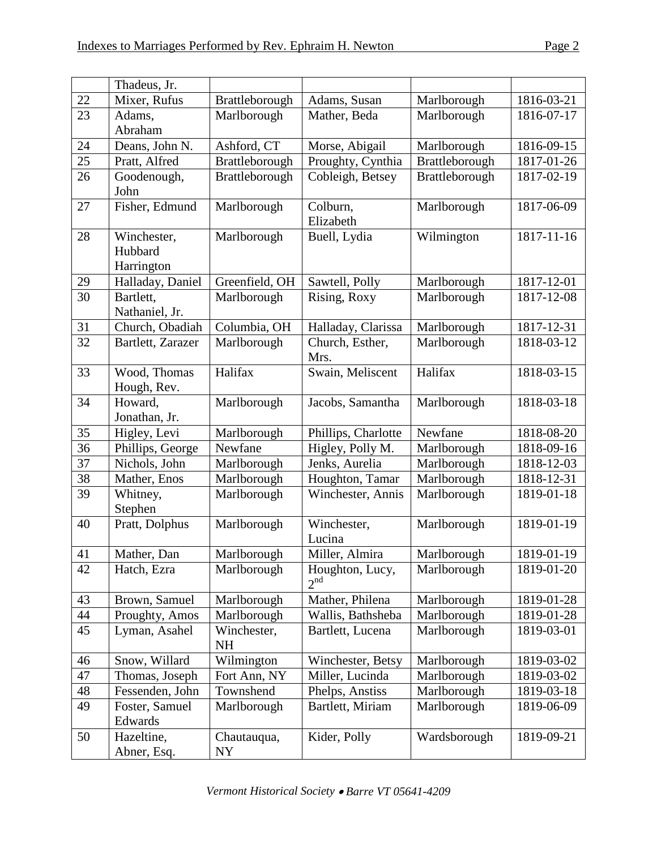|    | Thadeus, Jr.                         |                          |                                    |                |            |
|----|--------------------------------------|--------------------------|------------------------------------|----------------|------------|
| 22 | Mixer, Rufus                         | Brattleborough           | Adams, Susan                       | Marlborough    | 1816-03-21 |
| 23 | Adams,                               | Marlborough              | Mather, Beda                       | Marlborough    | 1816-07-17 |
|    | Abraham                              |                          |                                    |                |            |
| 24 | Deans, John N.                       | Ashford, CT              | Morse, Abigail                     | Marlborough    | 1816-09-15 |
| 25 | Pratt, Alfred                        | Brattleborough           | Proughty, Cynthia                  | Brattleborough | 1817-01-26 |
| 26 | Goodenough,<br>John                  | Brattleborough           | Cobleigh, Betsey                   | Brattleborough | 1817-02-19 |
| 27 | Fisher, Edmund                       | Marlborough              | Colburn,<br>Elizabeth              | Marlborough    | 1817-06-09 |
| 28 | Winchester,<br>Hubbard<br>Harrington | Marlborough              | Buell, Lydia                       | Wilmington     | 1817-11-16 |
| 29 | Halladay, Daniel                     | Greenfield, OH           | Sawtell, Polly                     | Marlborough    | 1817-12-01 |
| 30 | Bartlett,<br>Nathaniel, Jr.          | Marlborough              | Rising, Roxy                       | Marlborough    | 1817-12-08 |
| 31 | Church, Obadiah                      | Columbia, OH             | Halladay, Clarissa                 | Marlborough    | 1817-12-31 |
| 32 | Bartlett, Zarazer                    | Marlborough              | Church, Esther,<br>Mrs.            | Marlborough    | 1818-03-12 |
| 33 | Wood, Thomas<br>Hough, Rev.          | Halifax                  | Swain, Meliscent                   | Halifax        | 1818-03-15 |
| 34 | Howard,<br>Jonathan, Jr.             | Marlborough              | Jacobs, Samantha                   | Marlborough    | 1818-03-18 |
| 35 | Higley, Levi                         | Marlborough              | Phillips, Charlotte                | Newfane        | 1818-08-20 |
| 36 | Phillips, George                     | Newfane                  | Higley, Polly M.                   | Marlborough    | 1818-09-16 |
| 37 | Nichols, John                        | Marlborough              | Jenks, Aurelia                     | Marlborough    | 1818-12-03 |
| 38 | Mather, Enos                         | Marlborough              | Houghton, Tamar                    | Marlborough    | 1818-12-31 |
| 39 | Whitney,<br>Stephen                  | Marlborough              | Winchester, Annis                  | Marlborough    | 1819-01-18 |
| 40 | Pratt, Dolphus                       | Marlborough              | Winchester,<br>Lucina              | Marlborough    | 1819-01-19 |
| 41 | Mather, Dan                          | Marlborough              | Miller, Almira                     | Marlborough    | 1819-01-19 |
| 42 | Hatch, Ezra                          | Marlborough              | Houghton, Lucy,<br>2 <sup>nd</sup> | Marlborough    | 1819-01-20 |
| 43 | Brown, Samuel                        | Marlborough              | Mather, Philena                    | Marlborough    | 1819-01-28 |
| 44 | Proughty, Amos                       | Marlborough              | Wallis, Bathsheba                  | Marlborough    | 1819-01-28 |
| 45 | Lyman, Asahel                        | Winchester,<br><b>NH</b> | Bartlett, Lucena                   | Marlborough    | 1819-03-01 |
| 46 | Snow, Willard                        | Wilmington               | Winchester, Betsy                  | Marlborough    | 1819-03-02 |
| 47 | Thomas, Joseph                       | Fort Ann, NY             | Miller, Lucinda                    | Marlborough    | 1819-03-02 |
| 48 | Fessenden, John                      | Townshend                | Phelps, Anstiss                    | Marlborough    | 1819-03-18 |
| 49 | Foster, Samuel<br>Edwards            | Marlborough              | Bartlett, Miriam                   | Marlborough    | 1819-06-09 |
| 50 | Hazeltine,<br>Abner, Esq.            | Chautauqua,<br>NY        | Kider, Polly                       | Wardsborough   | 1819-09-21 |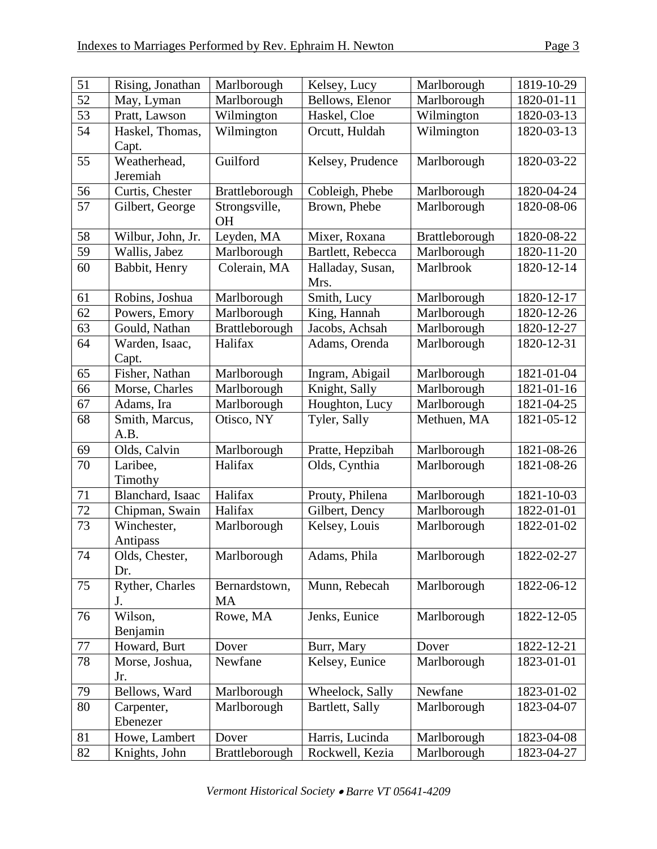| 51 | Rising, Jonathan         | Marlborough                | Kelsey, Lucy             | Marlborough    | 1819-10-29 |
|----|--------------------------|----------------------------|--------------------------|----------------|------------|
| 52 | May, Lyman               | Marlborough                | Bellows, Elenor          | Marlborough    | 1820-01-11 |
| 53 | Pratt, Lawson            | Wilmington                 | Haskel, Cloe             | Wilmington     | 1820-03-13 |
| 54 | Haskel, Thomas,<br>Capt. | Wilmington                 | Orcutt, Huldah           | Wilmington     | 1820-03-13 |
| 55 | Weatherhead,<br>Jeremiah | Guilford                   | Kelsey, Prudence         | Marlborough    | 1820-03-22 |
| 56 | Curtis, Chester          | Brattleborough             | Cobleigh, Phebe          | Marlborough    | 1820-04-24 |
| 57 | Gilbert, George          | Strongsville,<br><b>OH</b> | Brown, Phebe             | Marlborough    | 1820-08-06 |
| 58 | Wilbur, John, Jr.        | Leyden, MA                 | Mixer, Roxana            | Brattleborough | 1820-08-22 |
| 59 | Wallis, Jabez            | Marlborough                | Bartlett, Rebecca        | Marlborough    | 1820-11-20 |
| 60 | Babbit, Henry            | Colerain, MA               | Halladay, Susan,<br>Mrs. | Marlbrook      | 1820-12-14 |
| 61 | Robins, Joshua           | Marlborough                | Smith, Lucy              | Marlborough    | 1820-12-17 |
| 62 | Powers, Emory            | Marlborough                | King, Hannah             | Marlborough    | 1820-12-26 |
| 63 | Gould, Nathan            | Brattleborough             | Jacobs, Achsah           | Marlborough    | 1820-12-27 |
| 64 | Warden, Isaac,<br>Capt.  | Halifax                    | Adams, Orenda            | Marlborough    | 1820-12-31 |
| 65 | Fisher, Nathan           | Marlborough                | Ingram, Abigail          | Marlborough    | 1821-01-04 |
| 66 | Morse, Charles           | Marlborough                | Knight, Sally            | Marlborough    | 1821-01-16 |
| 67 | Adams, Ira               | Marlborough                | Houghton, Lucy           | Marlborough    | 1821-04-25 |
| 68 | Smith, Marcus,<br>A.B.   | Otisco, NY                 | Tyler, Sally             | Methuen, MA    | 1821-05-12 |
| 69 | Olds, Calvin             | Marlborough                | Pratte, Hepzibah         | Marlborough    | 1821-08-26 |
| 70 | Laribee,<br>Timothy      | Halifax                    | Olds, Cynthia            | Marlborough    | 1821-08-26 |
| 71 | Blanchard, Isaac         | Halifax                    | Prouty, Philena          | Marlborough    | 1821-10-03 |
| 72 | Chipman, Swain           | Halifax                    | Gilbert, Dency           | Marlborough    | 1822-01-01 |
| 73 | Winchester,<br>Antipass  | Marlborough                | Kelsey, Louis            | Marlborough    | 1822-01-02 |
| 74 | Olds, Chester,<br>Dr.    | Marlborough                | Adams, Phila             | Marlborough    | 1822-02-27 |
| 75 | Ryther, Charles<br>J.    | Bernardstown,<br><b>MA</b> | Munn, Rebecah            | Marlborough    | 1822-06-12 |
| 76 | Wilson,<br>Benjamin      | Rowe, MA                   | Jenks, Eunice            | Marlborough    | 1822-12-05 |
| 77 | Howard, Burt             | Dover                      | Burr, Mary               | Dover          | 1822-12-21 |
| 78 | Morse, Joshua,<br>Jr.    | Newfane                    | Kelsey, Eunice           | Marlborough    | 1823-01-01 |
| 79 | Bellows, Ward            | Marlborough                | Wheelock, Sally          | Newfane        | 1823-01-02 |
| 80 | Carpenter,<br>Ebenezer   | Marlborough                | Bartlett, Sally          | Marlborough    | 1823-04-07 |
| 81 | Howe, Lambert            | Dover                      | Harris, Lucinda          | Marlborough    | 1823-04-08 |
| 82 | Knights, John            | Brattleborough             | Rockwell, Kezia          | Marlborough    | 1823-04-27 |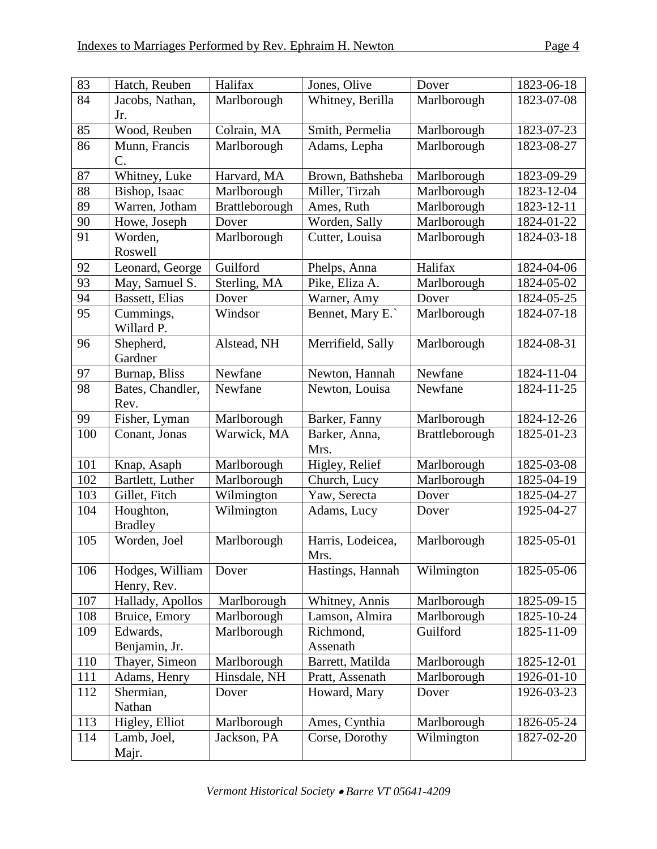| 83  | Hatch, Reuben    | Halifax        | Jones, Olive      | Dover          | 1823-06-18 |
|-----|------------------|----------------|-------------------|----------------|------------|
| 84  | Jacobs, Nathan,  | Marlborough    | Whitney, Berilla  | Marlborough    | 1823-07-08 |
|     | Jr.              |                |                   |                |            |
| 85  | Wood, Reuben     | Colrain, MA    | Smith, Permelia   | Marlborough    | 1823-07-23 |
| 86  | Munn, Francis    | Marlborough    | Adams, Lepha      | Marlborough    | 1823-08-27 |
|     | $\mathcal{C}$ .  |                |                   |                |            |
| 87  | Whitney, Luke    | Harvard, MA    | Brown, Bathsheba  | Marlborough    | 1823-09-29 |
| 88  | Bishop, Isaac    | Marlborough    | Miller, Tirzah    | Marlborough    | 1823-12-04 |
| 89  | Warren, Jotham   | Brattleborough | Ames, Ruth        | Marlborough    | 1823-12-11 |
| 90  | Howe, Joseph     | Dover          | Worden, Sally     | Marlborough    | 1824-01-22 |
| 91  | Worden,          | Marlborough    | Cutter, Louisa    | Marlborough    | 1824-03-18 |
|     | Roswell          |                |                   |                |            |
| 92  | Leonard, George  | Guilford       | Phelps, Anna      | Halifax        | 1824-04-06 |
| 93  | May, Samuel S.   | Sterling, MA   | Pike, Eliza A.    | Marlborough    | 1824-05-02 |
| 94  | Bassett, Elias   | Dover          | Warner, Amy       | Dover          | 1824-05-25 |
| 95  | Cummings,        | Windsor        | Bennet, Mary E.   | Marlborough    | 1824-07-18 |
|     | Willard P.       |                |                   |                |            |
| 96  | Shepherd,        | Alstead, NH    | Merrifield, Sally | Marlborough    | 1824-08-31 |
|     | Gardner          |                |                   |                |            |
| 97  | Burnap, Bliss    | Newfane        | Newton, Hannah    | Newfane        | 1824-11-04 |
| 98  | Bates, Chandler, | Newfane        | Newton, Louisa    | Newfane        | 1824-11-25 |
|     | Rev.             |                |                   |                |            |
| 99  | Fisher, Lyman    | Marlborough    | Barker, Fanny     | Marlborough    | 1824-12-26 |
| 100 | Conant, Jonas    | Warwick, MA    | Barker, Anna,     | Brattleborough | 1825-01-23 |
|     |                  |                | Mrs.              |                |            |
| 101 | Knap, Asaph      | Marlborough    | Higley, Relief    | Marlborough    | 1825-03-08 |
| 102 | Bartlett, Luther | Marlborough    | Church, Lucy      | Marlborough    | 1825-04-19 |
| 103 | Gillet, Fitch    | Wilmington     | Yaw, Serecta      | Dover          | 1825-04-27 |
| 104 | Houghton,        | Wilmington     | Adams, Lucy       | Dover          | 1925-04-27 |
|     | <b>Bradley</b>   |                |                   |                |            |
| 105 | Worden, Joel     | Marlborough    | Harris, Lodeicea, | Marlborough    | 1825-05-01 |
|     |                  |                | Mrs.              |                |            |
| 106 | Hodges, William  | Dover          | Hastings, Hannah  | Wilmington     | 1825-05-06 |
|     | Henry, Rev.      |                |                   |                |            |
| 107 | Hallady, Apollos | Marlborough    | Whitney, Annis    | Marlborough    | 1825-09-15 |
| 108 | Bruice, Emory    | Marlborough    | Lamson, Almira    | Marlborough    | 1825-10-24 |
| 109 | Edwards,         | Marlborough    | Richmond,         | Guilford       | 1825-11-09 |
|     | Benjamin, Jr.    |                | Assenath          |                |            |
| 110 | Thayer, Simeon   | Marlborough    | Barrett, Matilda  | Marlborough    | 1825-12-01 |
| 111 | Adams, Henry     | Hinsdale, NH   | Pratt, Assenath   | Marlborough    | 1926-01-10 |
| 112 | Shermian,        | Dover          | Howard, Mary      | Dover          | 1926-03-23 |
|     | Nathan           |                |                   |                |            |
| 113 | Higley, Elliot   | Marlborough    | Ames, Cynthia     | Marlborough    | 1826-05-24 |
| 114 | Lamb, Joel,      | Jackson, PA    | Corse, Dorothy    | Wilmington     | 1827-02-20 |
|     | Majr.            |                |                   |                |            |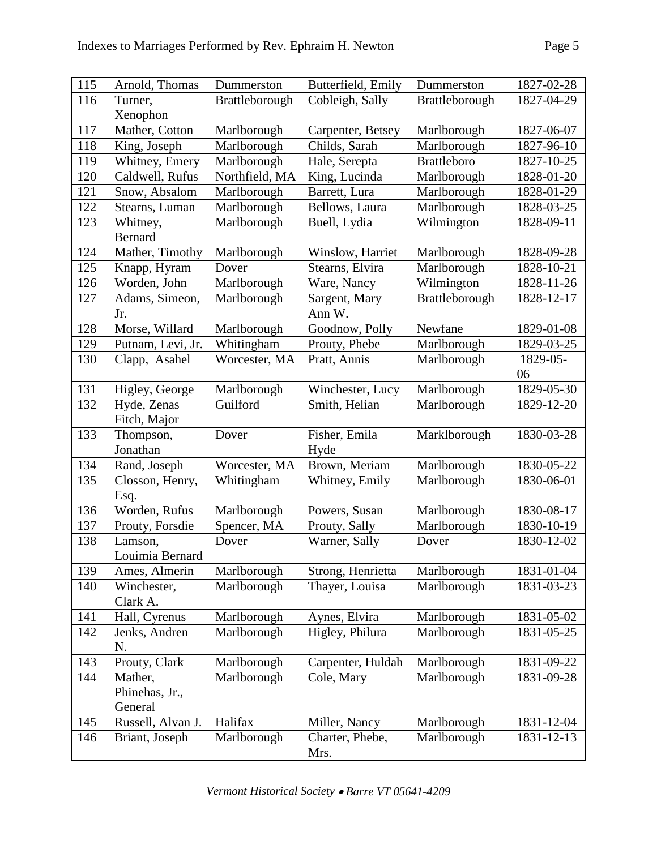| 115 | Arnold, Thomas              | Dummerston     | Butterfield, Emily      | Dummerston         | 1827-02-28 |
|-----|-----------------------------|----------------|-------------------------|--------------------|------------|
| 116 | Turner,                     | Brattleborough | Cobleigh, Sally         | Brattleborough     | 1827-04-29 |
|     | Xenophon                    |                |                         |                    |            |
| 117 | Mather, Cotton              | Marlborough    | Carpenter, Betsey       | Marlborough        | 1827-06-07 |
| 118 | King, Joseph                | Marlborough    | Childs, Sarah           | Marlborough        | 1827-96-10 |
| 119 | Whitney, Emery              | Marlborough    | Hale, Serepta           | <b>Brattleboro</b> | 1827-10-25 |
| 120 | Caldwell, Rufus             | Northfield, MA | King, Lucinda           | Marlborough        | 1828-01-20 |
| 121 | Snow, Absalom               | Marlborough    | Barrett, Lura           | Marlborough        | 1828-01-29 |
| 122 | Stearns, Luman              | Marlborough    | Bellows, Laura          | Marlborough        | 1828-03-25 |
| 123 | Whitney,<br><b>Bernard</b>  | Marlborough    | Buell, Lydia            | Wilmington         | 1828-09-11 |
| 124 | Mather, Timothy             | Marlborough    | Winslow, Harriet        | Marlborough        | 1828-09-28 |
| 125 | Knapp, Hyram                | Dover          | Stearns, Elvira         | Marlborough        | 1828-10-21 |
| 126 | Worden, John                | Marlborough    | Ware, Nancy             | Wilmington         | 1828-11-26 |
| 127 | Adams, Simeon,<br>Jr.       | Marlborough    | Sargent, Mary<br>Ann W. | Brattleborough     | 1828-12-17 |
| 128 | Morse, Willard              | Marlborough    | Goodnow, Polly          | Newfane            | 1829-01-08 |
| 129 | Putnam, Levi, Jr.           | Whitingham     | Prouty, Phebe           | Marlborough        | 1829-03-25 |
| 130 | Clapp, Asahel               | Worcester, MA  | Pratt, Annis            | Marlborough        | 1829-05-   |
|     |                             |                |                         |                    | 06         |
| 131 | Higley, George              | Marlborough    | Winchester, Lucy        | Marlborough        | 1829-05-30 |
| 132 | Hyde, Zenas<br>Fitch, Major | Guilford       | Smith, Helian           | Marlborough        | 1829-12-20 |
| 133 | Thompson,<br>Jonathan       | Dover          | Fisher, Emila           | Marklborough       | 1830-03-28 |
| 134 | Rand, Joseph                | Worcester, MA  | Hyde<br>Brown, Meriam   | Marlborough        | 1830-05-22 |
| 135 | Closson, Henry,             | Whitingham     | Whitney, Emily          | Marlborough        | 1830-06-01 |
|     | Esq.                        |                |                         |                    |            |
| 136 | Worden, Rufus               | Marlborough    | Powers, Susan           | Marlborough        | 1830-08-17 |
| 137 | Prouty, Forsdie             | Spencer, MA    | Prouty, Sally           | Marlborough        | 1830-10-19 |
| 138 | Lamson,<br>Louimia Bernard  | Dover          | Warner, Sally           | Dover              | 1830-12-02 |
| 139 | Ames, Almerin               | Marlborough    | Strong, Henrietta       | Marlborough        | 1831-01-04 |
| 140 | Winchester,<br>Clark A.     | Marlborough    | Thayer, Louisa          | Marlborough        | 1831-03-23 |
| 141 | Hall, Cyrenus               | Marlborough    | Aynes, Elvira           | Marlborough        | 1831-05-02 |
| 142 | Jenks, Andren<br>N.         | Marlborough    | Higley, Philura         | Marlborough        | 1831-05-25 |
| 143 | Prouty, Clark               | Marlborough    | Carpenter, Huldah       | Marlborough        | 1831-09-22 |
| 144 | Mather,                     | Marlborough    | Cole, Mary              | Marlborough        | 1831-09-28 |
|     | Phinehas, Jr.,<br>General   |                |                         |                    |            |
| 145 | Russell, Alvan J.           | Halifax        | Miller, Nancy           | Marlborough        | 1831-12-04 |
| 146 | Briant, Joseph              | Marlborough    | Charter, Phebe,         | Marlborough        | 1831-12-13 |
|     |                             |                | Mrs.                    |                    |            |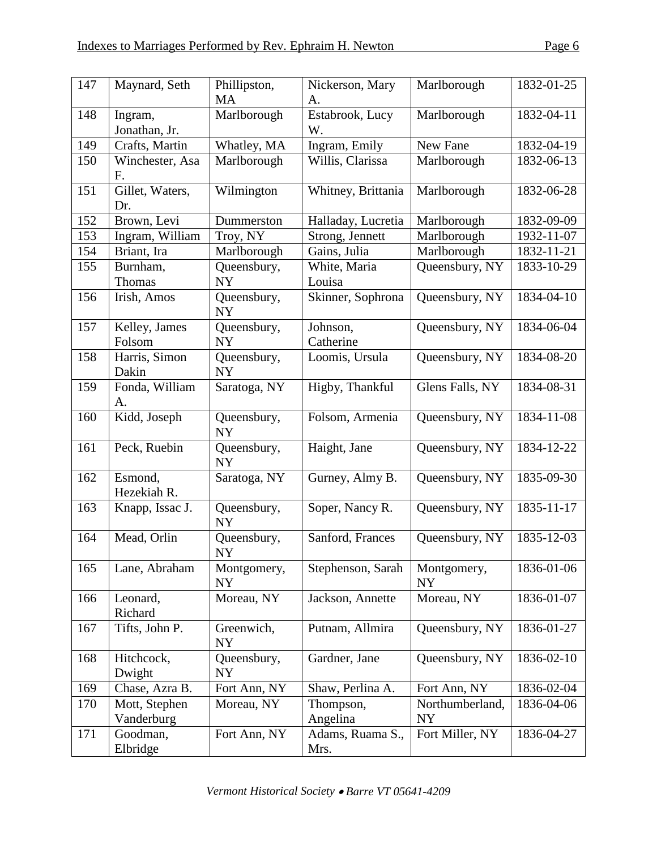| 147 | Maynard, Seth               | Phillipston,             | Nickerson, Mary          | Marlborough                  | 1832-01-25 |
|-----|-----------------------------|--------------------------|--------------------------|------------------------------|------------|
|     |                             | MA                       | A.                       |                              |            |
| 148 | Ingram,<br>Jonathan, Jr.    | Marlborough              | Estabrook, Lucy<br>W.    | Marlborough                  | 1832-04-11 |
| 149 | Crafts, Martin              | Whatley, MA              | Ingram, Emily            | New Fane                     | 1832-04-19 |
| 150 | Winchester, Asa<br>F.       | Marlborough              | Willis, Clarissa         | Marlborough                  | 1832-06-13 |
| 151 | Gillet, Waters,<br>Dr.      | Wilmington               | Whitney, Brittania       | Marlborough                  | 1832-06-28 |
| 152 | Brown, Levi                 | Dummerston               | Halladay, Lucretia       | Marlborough                  | 1832-09-09 |
| 153 | Ingram, William             | Troy, NY                 | Strong, Jennett          | Marlborough                  | 1932-11-07 |
| 154 | Briant, Ira                 | Marlborough              | Gains, Julia             | Marlborough                  | 1832-11-21 |
| 155 | Burnham,<br>Thomas          | Queensbury,<br>NY        | White, Maria<br>Louisa   | Queensbury, NY               | 1833-10-29 |
| 156 | Irish, Amos                 | Queensbury,<br><b>NY</b> | Skinner, Sophrona        | Queensbury, NY               | 1834-04-10 |
| 157 | Kelley, James<br>Folsom     | Queensbury,<br><b>NY</b> | Johnson,<br>Catherine    | Queensbury, NY               | 1834-06-04 |
| 158 | Harris, Simon<br>Dakin      | Queensbury,<br><b>NY</b> | Loomis, Ursula           | Queensbury, NY               | 1834-08-20 |
| 159 | Fonda, William<br>А.        | Saratoga, NY             | Higby, Thankful          | Glens Falls, NY              | 1834-08-31 |
| 160 | Kidd, Joseph                | Queensbury,<br><b>NY</b> | Folsom, Armenia          | Queensbury, NY               | 1834-11-08 |
| 161 | Peck, Ruebin                | Queensbury,<br><b>NY</b> | Haight, Jane             | Queensbury, NY               | 1834-12-22 |
| 162 | Esmond,<br>Hezekiah R.      | Saratoga, NY             | Gurney, Almy B.          | Queensbury, NY               | 1835-09-30 |
| 163 | Knapp, Issac J.             | Queensbury,<br><b>NY</b> | Soper, Nancy R.          | Queensbury, NY               | 1835-11-17 |
| 164 | Mead, Orlin                 | Queensbury,<br><b>NY</b> | Sanford, Frances         | Queensbury, NY               | 1835-12-03 |
| 165 | Lane, Abraham               | Montgomery,<br><b>NY</b> | Stephenson, Sarah        | Montgomery,<br><b>NY</b>     | 1836-01-06 |
| 166 | Leonard,<br>Richard         | Moreau, NY               | Jackson, Annette         | Moreau, NY                   | 1836-01-07 |
| 167 | Tifts, John P.              | Greenwich,<br><b>NY</b>  | Putnam, Allmira          | Queensbury, NY               | 1836-01-27 |
| 168 | Hitchcock,<br>Dwight        | Queensbury,<br><b>NY</b> | Gardner, Jane            | Queensbury, NY               | 1836-02-10 |
| 169 | Chase, Azra B.              | Fort Ann, NY             | Shaw, Perlina A.         | Fort Ann, NY                 | 1836-02-04 |
| 170 | Mott, Stephen<br>Vanderburg | Moreau, NY               | Thompson,<br>Angelina    | Northumberland,<br><b>NY</b> | 1836-04-06 |
| 171 | Goodman,<br>Elbridge        | Fort Ann, NY             | Adams, Ruama S.,<br>Mrs. | Fort Miller, NY              | 1836-04-27 |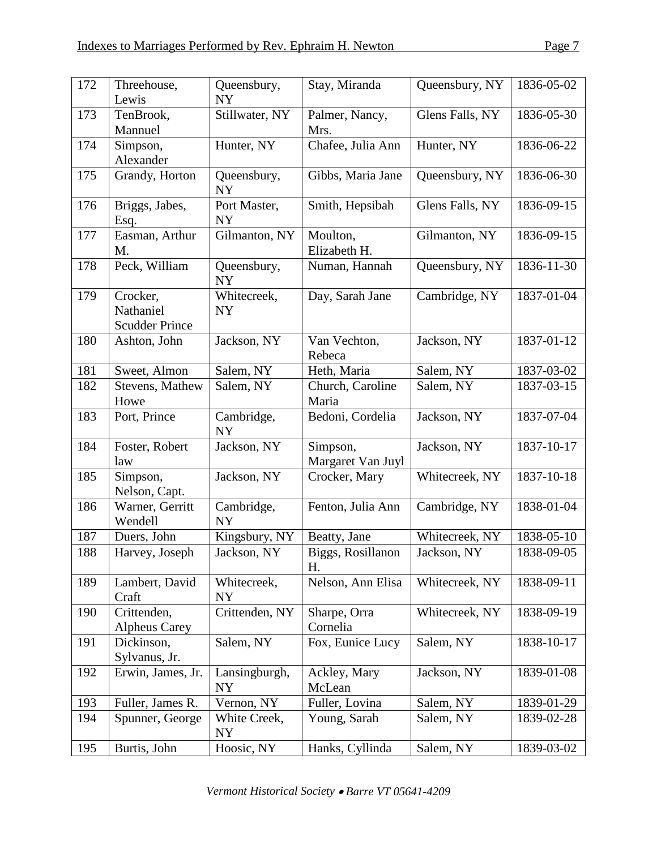| 172 | Threehouse,<br>Lewis                           | Queensbury,<br><b>NY</b>  | Stay, Miranda                 | Queensbury, NY  | 1836-05-02 |
|-----|------------------------------------------------|---------------------------|-------------------------------|-----------------|------------|
| 173 | TenBrook,<br>Mannuel                           | Stillwater, NY            | Palmer, Nancy,<br>Mrs.        | Glens Falls, NY | 1836-05-30 |
| 174 | Simpson,<br>Alexander                          | Hunter, NY                | Chafee, Julia Ann             | Hunter, NY      | 1836-06-22 |
| 175 | Grandy, Horton                                 | Queensbury,<br><b>NY</b>  | Gibbs, Maria Jane             | Queensbury, NY  | 1836-06-30 |
| 176 | Briggs, Jabes,<br>Esq.                         | Port Master,<br><b>NY</b> | Smith, Hepsibah               | Glens Falls, NY | 1836-09-15 |
| 177 | Easman, Arthur<br>M.                           | Gilmanton, NY             | Moulton,<br>Elizabeth H.      | Gilmanton, NY   | 1836-09-15 |
| 178 | Peck, William                                  | Queensbury,<br><b>NY</b>  | Numan, Hannah                 | Queensbury, NY  | 1836-11-30 |
| 179 | Crocker,<br>Nathaniel<br><b>Scudder Prince</b> | Whitecreek,<br><b>NY</b>  | Day, Sarah Jane               | Cambridge, NY   | 1837-01-04 |
| 180 | Ashton, John                                   | Jackson, NY               | Van Vechton,<br>Rebeca        | Jackson, NY     | 1837-01-12 |
| 181 | Sweet, Almon                                   | Salem, NY                 | Heth, Maria                   | Salem, NY       | 1837-03-02 |
| 182 | Stevens, Mathew<br>Howe                        | Salem, NY                 | Church, Caroline<br>Maria     | Salem, NY       | 1837-03-15 |
| 183 | Port, Prince                                   | Cambridge,<br><b>NY</b>   | Bedoni, Cordelia              | Jackson, NY     | 1837-07-04 |
| 184 | Foster, Robert<br>law                          | Jackson, NY               | Simpson,<br>Margaret Van Juyl | Jackson, NY     | 1837-10-17 |
| 185 | Simpson,<br>Nelson, Capt.                      | Jackson, NY               | Crocker, Mary                 | Whitecreek, NY  | 1837-10-18 |
| 186 | Warner, Gerritt<br>Wendell                     | Cambridge,<br><b>NY</b>   | Fenton, Julia Ann             | Cambridge, NY   | 1838-01-04 |
| 187 | Duers, John                                    | Kingsbury, NY             | Beatty, Jane                  | Whitecreek, NY  | 1838-05-10 |
| 188 | Harvey, Joseph                                 | Jackson, NY               | Biggs, Rosillanon<br>Η.       | Jackson, NY     | 1838-09-05 |
| 189 | Lambert, David<br>Craft                        | Whitecreek,<br>NY         | Nelson, Ann Elisa             | Whitecreek, NY  | 1838-09-11 |
| 190 | Crittenden,<br><b>Alpheus Carey</b>            | Crittenden, NY            | Sharpe, Orra<br>Cornelia      | Whitecreek, NY  | 1838-09-19 |
| 191 | Dickinson,<br>Sylvanus, Jr.                    | Salem, NY                 | Fox, Eunice Lucy              | Salem, NY       | 1838-10-17 |
| 192 | Erwin, James, Jr.                              | Lansingburgh,<br>NY       | Ackley, Mary<br>McLean        | Jackson, NY     | 1839-01-08 |
| 193 | Fuller, James R.                               | Vernon, NY                | Fuller, Lovina                | Salem, NY       | 1839-01-29 |
| 194 | Spunner, George                                | White Creek,<br>NY        | Young, Sarah                  | Salem, NY       | 1839-02-28 |
| 195 | Burtis, John                                   | Hoosic, NY                | Hanks, Cyllinda               | Salem, NY       | 1839-03-02 |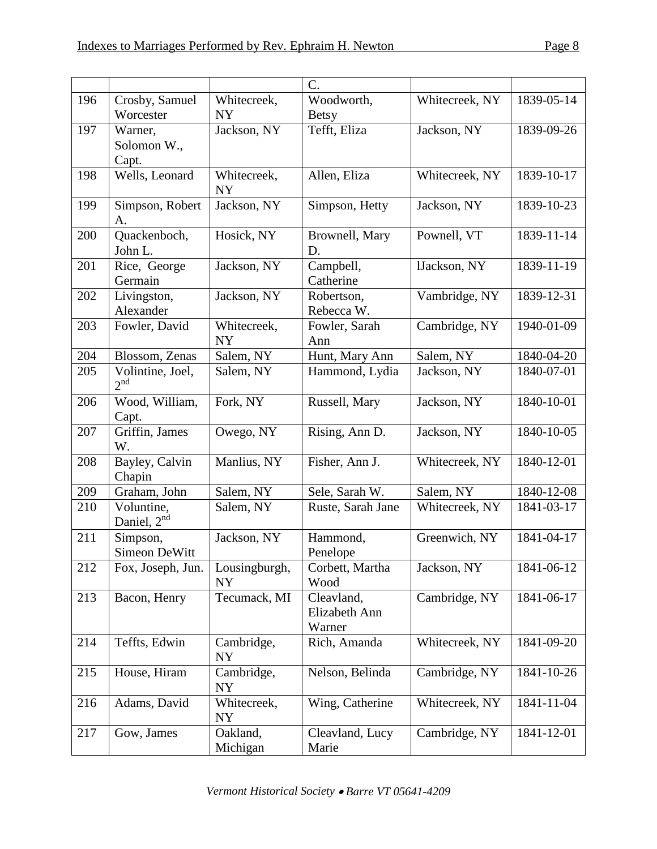|     |                   |               | C.                |                |            |
|-----|-------------------|---------------|-------------------|----------------|------------|
| 196 | Crosby, Samuel    | Whitecreek,   | Woodworth,        | Whitecreek, NY | 1839-05-14 |
|     | Worcester         | <b>NY</b>     | <b>Betsy</b>      |                |            |
| 197 | Warner,           | Jackson, NY   | Tefft, Eliza      | Jackson, NY    | 1839-09-26 |
|     | Solomon W.,       |               |                   |                |            |
|     | Capt.             |               |                   |                |            |
| 198 | Wells, Leonard    | Whitecreek,   | Allen, Eliza      | Whitecreek, NY | 1839-10-17 |
|     |                   | <b>NY</b>     |                   |                |            |
| 199 | Simpson, Robert   | Jackson, NY   | Simpson, Hetty    | Jackson, NY    | 1839-10-23 |
|     | А.                |               |                   |                |            |
| 200 | Quackenboch,      | Hosick, NY    | Brownell, Mary    | Pownell, VT    | 1839-11-14 |
|     | John L.           |               | D.                |                |            |
| 201 | Rice, George      | Jackson, NY   | Campbell,         | lJackson, NY   | 1839-11-19 |
|     | Germain           |               | Catherine         |                |            |
| 202 | Livingston,       | Jackson, NY   | Robertson,        | Vambridge, NY  | 1839-12-31 |
|     | Alexander         |               | Rebecca W.        |                |            |
| 203 | Fowler, David     | Whitecreek,   | Fowler, Sarah     | Cambridge, NY  | 1940-01-09 |
|     |                   | <b>NY</b>     | Ann               |                |            |
| 204 | Blossom, Zenas    | Salem, NY     | Hunt, Mary Ann    | Salem, NY      | 1840-04-20 |
| 205 | Volintine, Joel,  | Salem, NY     | Hammond, Lydia    | Jackson, NY    | 1840-07-01 |
|     | 2 <sup>nd</sup>   |               |                   |                |            |
| 206 | Wood, William,    | Fork, NY      | Russell, Mary     | Jackson, NY    | 1840-10-01 |
|     | Capt.             |               |                   |                |            |
| 207 | Griffin, James    | Owego, NY     | Rising, Ann D.    | Jackson, NY    | 1840-10-05 |
|     | W.                |               |                   |                |            |
| 208 | Bayley, Calvin    | Manlius, NY   | Fisher, Ann J.    | Whitecreek, NY | 1840-12-01 |
|     | Chapin            |               |                   |                |            |
| 209 | Graham, John      | Salem, NY     | Sele, Sarah W.    | Salem, NY      | 1840-12-08 |
| 210 | Voluntine,        | Salem, NY     | Ruste, Sarah Jane | Whitecreek, NY | 1841-03-17 |
|     | Daniel, $2nd$     |               |                   |                |            |
| 211 | Simpson,          | Jackson, NY   | Hammond,          | Greenwich, NY  | 1841-04-17 |
|     | Simeon DeWitt     |               | Penelope          |                |            |
| 212 | Fox, Joseph, Jun. | Lousingburgh, | Corbett, Martha   | Jackson, NY    | 1841-06-12 |
|     |                   | <b>NY</b>     | Wood              |                |            |
| 213 | Bacon, Henry      | Tecumack, MI  | Cleavland,        | Cambridge, NY  | 1841-06-17 |
|     |                   |               | Elizabeth Ann     |                |            |
|     |                   |               | Warner            |                |            |
| 214 | Teffts, Edwin     | Cambridge,    | Rich, Amanda      | Whitecreek, NY | 1841-09-20 |
|     |                   | NY            |                   |                |            |
| 215 | House, Hiram      | Cambridge,    | Nelson, Belinda   | Cambridge, NY  | 1841-10-26 |
|     |                   | NY            |                   |                |            |
| 216 | Adams, David      | Whitecreek,   | Wing, Catherine   | Whitecreek, NY | 1841-11-04 |
|     |                   | <b>NY</b>     |                   |                |            |
| 217 | Gow, James        | Oakland,      | Cleavland, Lucy   | Cambridge, NY  | 1841-12-01 |
|     |                   | Michigan      | Marie             |                |            |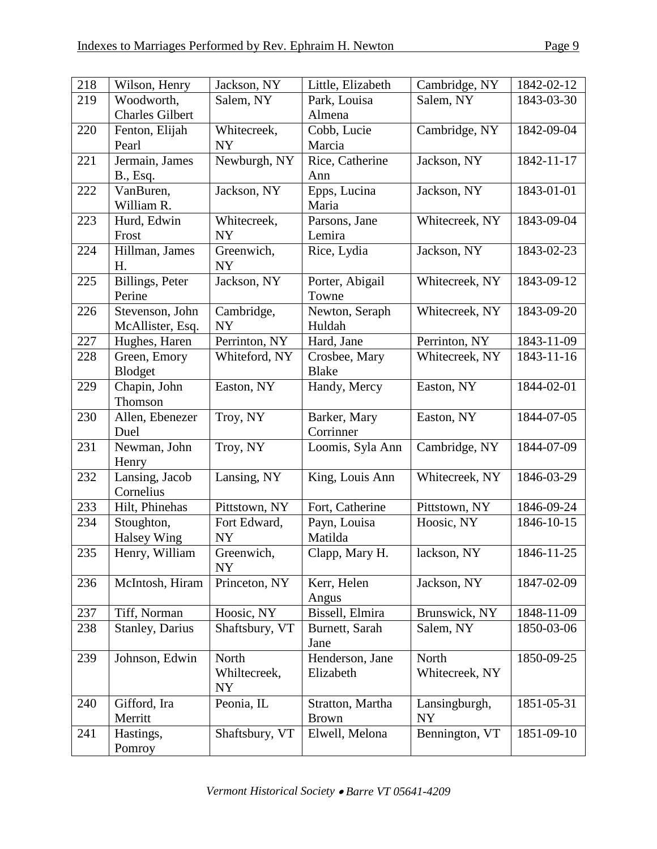| 218 | Wilson, Henry               | Jackson, NY             | Little, Elizabeth              | Cambridge, NY               | 1842-02-12 |
|-----|-----------------------------|-------------------------|--------------------------------|-----------------------------|------------|
| 219 | Woodworth,                  | Salem, NY               | Park, Louisa                   | Salem, NY                   | 1843-03-30 |
|     | <b>Charles Gilbert</b>      |                         | Almena                         |                             |            |
| 220 | Fenton, Elijah              | Whitecreek,             | Cobb, Lucie                    | Cambridge, NY               | 1842-09-04 |
|     | Pearl                       | <b>NY</b>               | Marcia                         |                             |            |
| 221 | Jermain, James              | Newburgh, NY            | Rice, Catherine                | Jackson, NY                 | 1842-11-17 |
|     | B., Esq.                    |                         | Ann                            |                             |            |
| 222 | VanBuren,                   | Jackson, NY             | Epps, Lucina                   | Jackson, NY                 | 1843-01-01 |
|     | William R.                  |                         | Maria                          |                             |            |
| 223 | Hurd, Edwin                 | Whitecreek,             | Parsons, Jane                  | Whitecreek, NY              | 1843-09-04 |
|     | Frost                       | <b>NY</b>               | Lemira                         |                             |            |
| 224 | Hillman, James<br>H.        | Greenwich,<br><b>NY</b> | Rice, Lydia                    | Jackson, NY                 | 1843-02-23 |
| 225 | Billings, Peter<br>Perine   | Jackson, NY             | Porter, Abigail                | Whitecreek, NY              | 1843-09-12 |
| 226 | Stevenson, John             | Cambridge,              | Towne<br>Newton, Seraph        | Whitecreek, NY              | 1843-09-20 |
|     | McAllister, Esq.            | <b>NY</b>               | Huldah                         |                             |            |
| 227 | Hughes, Haren               | Perrinton, NY           | Hard, Jane                     | Perrinton, NY               | 1843-11-09 |
| 228 | Green, Emory                | Whiteford, NY           | Crosbee, Mary                  | Whitecreek, NY              | 1843-11-16 |
|     | Blodget                     |                         | <b>Blake</b>                   |                             |            |
| 229 | Chapin, John                | Easton, NY              | Handy, Mercy                   | Easton, NY                  | 1844-02-01 |
|     | Thomson                     |                         |                                |                             |            |
| 230 | Allen, Ebenezer             | Troy, NY                | Barker, Mary                   | Easton, NY                  | 1844-07-05 |
|     | Duel                        |                         | Corrinner                      |                             |            |
| 231 | Newman, John                | Troy, NY                | Loomis, Syla Ann               | Cambridge, NY               | 1844-07-09 |
|     | Henry                       |                         |                                |                             |            |
| 232 | Lansing, Jacob              | Lansing, NY             | King, Louis Ann                | Whitecreek, NY              | 1846-03-29 |
| 233 | Cornelius<br>Hilt, Phinehas | Pittstown, NY           | Fort, Catherine                | Pittstown, NY               | 1846-09-24 |
| 234 | Stoughton,                  | Fort Edward,            | Payn, Louisa                   | Hoosic, NY                  | 1846-10-15 |
|     | Halsey Wing                 | NY                      | Matilda                        |                             |            |
| 235 | Henry, William              | Greenwich,              | Clapp, Mary H.                 | lackson, NY                 | 1846-11-25 |
|     |                             | <b>NY</b>               |                                |                             |            |
| 236 | McIntosh, Hiram             | Princeton, NY           | Kerr, Helen                    | Jackson, NY                 | 1847-02-09 |
|     |                             |                         | Angus                          |                             |            |
| 237 | Tiff, Norman                | Hoosic, NY              | Bissell, Elmira                | Brunswick, NY               | 1848-11-09 |
| 238 | <b>Stanley</b> , Darius     | Shaftsbury, VT          | Burnett, Sarah                 | Salem, NY                   | 1850-03-06 |
|     |                             |                         | Jane                           |                             |            |
| 239 | Johnson, Edwin              | North                   | Henderson, Jane                | North                       | 1850-09-25 |
|     |                             | Whiltecreek,            | Elizabeth                      | Whitecreek, NY              |            |
|     |                             | <b>NY</b>               |                                |                             |            |
| 240 | Gifford, Ira                | Peonia, IL              | Stratton, Martha               | Lansingburgh,               | 1851-05-31 |
| 241 | Merritt<br>Hastings,        |                         | <b>Brown</b><br>Elwell, Melona | <b>NY</b><br>Bennington, VT | 1851-09-10 |
|     | Pomroy                      | Shaftsbury, VT          |                                |                             |            |
|     |                             |                         |                                |                             |            |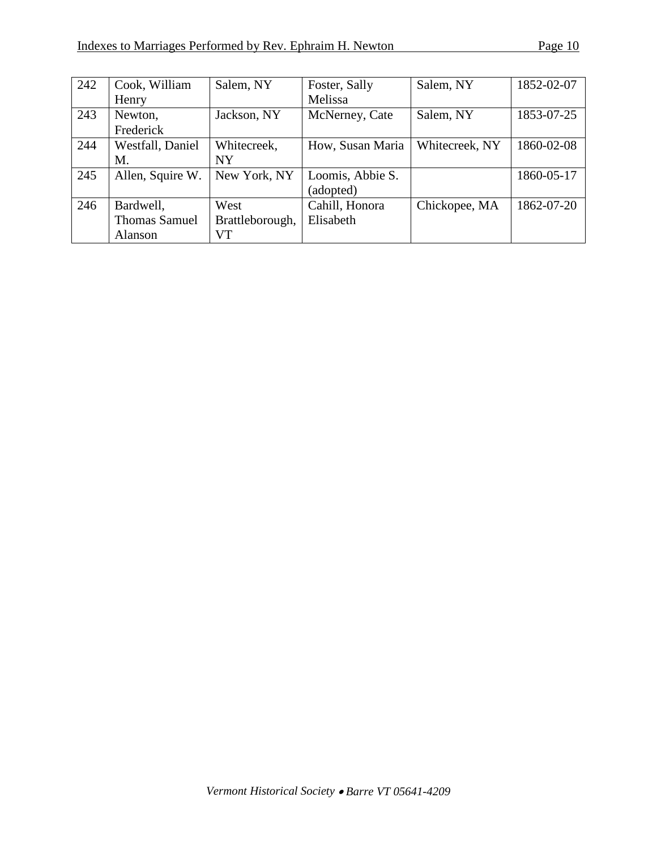| 242 | Cook, William        | Salem, NY       | Foster, Sally    | Salem, NY      | 1852-02-07 |
|-----|----------------------|-----------------|------------------|----------------|------------|
|     | Henry                |                 | Melissa          |                |            |
| 243 | Newton,              | Jackson, NY     | McNerney, Cate   | Salem, NY      | 1853-07-25 |
|     | Frederick            |                 |                  |                |            |
| 244 | Westfall, Daniel     | Whitecreek,     | How, Susan Maria | Whitecreek, NY | 1860-02-08 |
|     | М.                   | <b>NY</b>       |                  |                |            |
| 245 | Allen, Squire W.     | New York, NY    | Loomis, Abbie S. |                | 1860-05-17 |
|     |                      |                 | (adopted)        |                |            |
| 246 | Bardwell,            | West            | Cahill, Honora   | Chickopee, MA  | 1862-07-20 |
|     | <b>Thomas Samuel</b> | Brattleborough, | Elisabeth        |                |            |
|     | Alanson              | VT              |                  |                |            |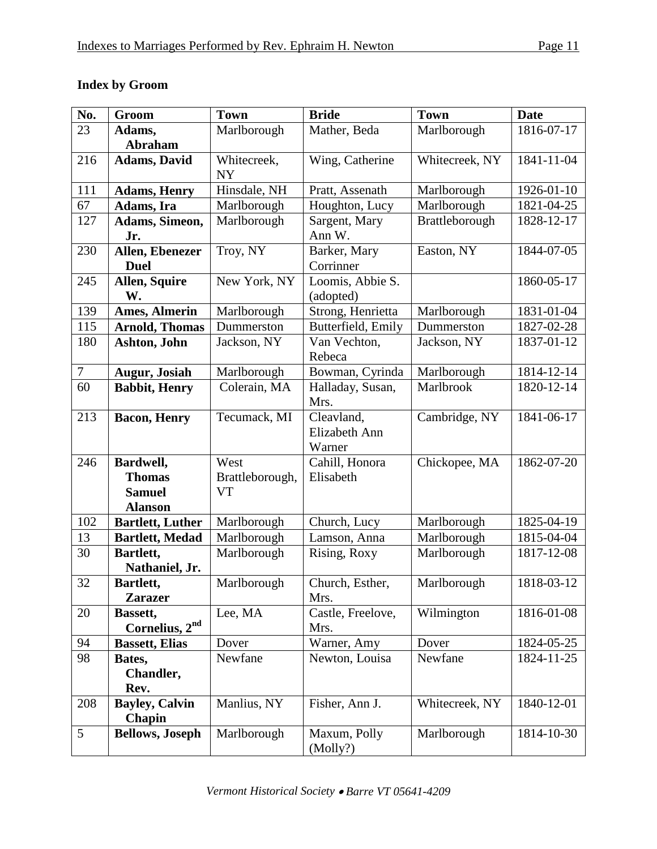# **Index by Groom**

| No.    | Groom                   | <b>Town</b>     | <b>Bride</b>       | <b>Town</b>    | <b>Date</b> |
|--------|-------------------------|-----------------|--------------------|----------------|-------------|
| 23     | Adams,                  | Marlborough     | Mather, Beda       | Marlborough    | 1816-07-17  |
|        | <b>Abraham</b>          |                 |                    |                |             |
| 216    | <b>Adams, David</b>     | Whitecreek,     | Wing, Catherine    | Whitecreek, NY | 1841-11-04  |
|        |                         | NY              |                    |                |             |
| 111    | <b>Adams, Henry</b>     | Hinsdale, NH    | Pratt, Assenath    | Marlborough    | 1926-01-10  |
| 67     | Adams, Ira              | Marlborough     | Houghton, Lucy     | Marlborough    | 1821-04-25  |
| 127    | Adams, Simeon,          | Marlborough     | Sargent, Mary      | Brattleborough | 1828-12-17  |
|        | Jr.                     |                 | Ann W.             |                |             |
| 230    | Allen, Ebenezer         | Troy, NY        | Barker, Mary       | Easton, NY     | 1844-07-05  |
|        | <b>Duel</b>             |                 | Corrinner          |                |             |
| 245    | <b>Allen, Squire</b>    | New York, NY    | Loomis, Abbie S.   |                | 1860-05-17  |
|        | W.                      |                 | (adopted)          |                |             |
| 139    | <b>Ames, Almerin</b>    | Marlborough     | Strong, Henrietta  | Marlborough    | 1831-01-04  |
| 115    | <b>Arnold, Thomas</b>   | Dummerston      | Butterfield, Emily | Dummerston     | 1827-02-28  |
| 180    | Ashton, John            | Jackson, NY     | Van Vechton,       | Jackson, NY    | 1837-01-12  |
|        |                         |                 | Rebeca             |                |             |
| $\tau$ | <b>Augur, Josiah</b>    | Marlborough     | Bowman, Cyrinda    | Marlborough    | 1814-12-14  |
| 60     | <b>Babbit</b> , Henry   | Colerain, MA    | Halladay, Susan,   | Marlbrook      | 1820-12-14  |
|        |                         |                 | Mrs.               |                |             |
| 213    | <b>Bacon</b> , Henry    | Tecumack, MI    | Cleavland,         | Cambridge, NY  | 1841-06-17  |
|        |                         |                 | Elizabeth Ann      |                |             |
|        |                         |                 | Warner             |                |             |
| 246    | Bardwell,               | West            | Cahill, Honora     | Chickopee, MA  | 1862-07-20  |
|        | <b>Thomas</b>           | Brattleborough, | Elisabeth          |                |             |
|        | <b>Samuel</b>           | <b>VT</b>       |                    |                |             |
|        | <b>Alanson</b>          |                 |                    |                |             |
| 102    | <b>Bartlett, Luther</b> | Marlborough     | Church, Lucy       | Marlborough    | 1825-04-19  |
| 13     | <b>Bartlett, Medad</b>  | Marlborough     | Lamson, Anna       | Marlborough    | 1815-04-04  |
| 30     | Bartlett,               | Marlborough     | Rising, Roxy       | Marlborough    | 1817-12-08  |
|        | Nathaniel, Jr.          |                 |                    |                |             |
| 32     | Bartlett,               | Marlborough     | Church, Esther,    | Marlborough    | 1818-03-12  |
|        | <b>Zarazer</b>          |                 | Mrs.               |                |             |
| 20     | Bassett,                | Lee, MA         | Castle, Freelove,  | Wilmington     | 1816-01-08  |
|        | Cornelius, $2nd$        |                 | Mrs.               |                |             |
| 94     | <b>Bassett, Elias</b>   | Dover           | Warner, Amy        | Dover          | 1824-05-25  |
| 98     | Bates,                  | Newfane         | Newton, Louisa     | Newfane        | 1824-11-25  |
|        | Chandler,               |                 |                    |                |             |
|        | Rev.                    |                 |                    |                |             |
| 208    | <b>Bayley, Calvin</b>   | Manlius, NY     | Fisher, Ann J.     | Whitecreek, NY | 1840-12-01  |
|        | Chapin                  |                 |                    |                |             |
| 5      | <b>Bellows</b> , Joseph | Marlborough     | Maxum, Polly       | Marlborough    | 1814-10-30  |
|        |                         |                 | (Molly?)           |                |             |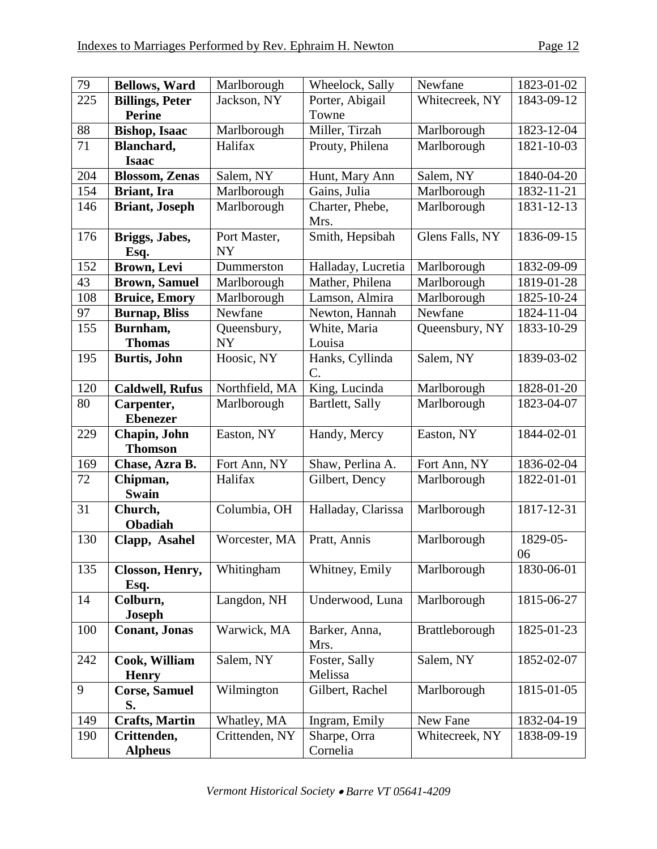| 79  | <b>Bellows, Ward</b>   | Marlborough    | Wheelock, Sally       | Newfane         | 1823-01-02 |
|-----|------------------------|----------------|-----------------------|-----------------|------------|
| 225 | <b>Billings, Peter</b> | Jackson, NY    | Porter, Abigail       | Whitecreek, NY  | 1843-09-12 |
|     | <b>Perine</b>          |                | Towne                 |                 |            |
| 88  | <b>Bishop</b> , Isaac  | Marlborough    | Miller, Tirzah        | Marlborough     | 1823-12-04 |
| 71  | Blanchard,             | Halifax        | Prouty, Philena       | Marlborough     | 1821-10-03 |
|     | <b>Isaac</b>           |                |                       |                 |            |
| 204 | <b>Blossom, Zenas</b>  | Salem, NY      | Hunt, Mary Ann        | Salem, NY       | 1840-04-20 |
| 154 | <b>Briant</b> , Ira    | Marlborough    | Gains, Julia          | Marlborough     | 1832-11-21 |
| 146 | <b>Briant</b> , Joseph | Marlborough    | Charter, Phebe,       | Marlborough     | 1831-12-13 |
|     |                        |                | Mrs.                  |                 |            |
| 176 | Briggs, Jabes,         | Port Master,   | Smith, Hepsibah       | Glens Falls, NY | 1836-09-15 |
|     | Esq.                   | <b>NY</b>      |                       |                 |            |
| 152 | Brown, Levi            | Dummerston     | Halladay, Lucretia    | Marlborough     | 1832-09-09 |
| 43  | <b>Brown, Samuel</b>   | Marlborough    | Mather, Philena       | Marlborough     | 1819-01-28 |
| 108 | <b>Bruice, Emory</b>   | Marlborough    | Lamson, Almira        | Marlborough     | 1825-10-24 |
| 97  | <b>Burnap</b> , Bliss  | Newfane        | Newton, Hannah        | Newfane         | 1824-11-04 |
| 155 | Burnham,               | Queensbury,    | White, Maria          | Queensbury, NY  | 1833-10-29 |
|     | <b>Thomas</b>          | <b>NY</b>      | Louisa                |                 |            |
| 195 | <b>Burtis</b> , John   | Hoosic, NY     | Hanks, Cyllinda       | Salem, NY       | 1839-03-02 |
|     |                        |                | C.                    |                 |            |
| 120 | <b>Caldwell, Rufus</b> | Northfield, MA | King, Lucinda         | Marlborough     | 1828-01-20 |
| 80  | Carpenter,             | Marlborough    | Bartlett, Sally       | Marlborough     | 1823-04-07 |
|     | <b>Ebenezer</b>        |                |                       |                 |            |
| 229 | Chapin, John           | Easton, NY     | Handy, Mercy          | Easton, NY      | 1844-02-01 |
|     | <b>Thomson</b>         |                |                       |                 |            |
| 169 | Chase, Azra B.         | Fort Ann, NY   | Shaw, Perlina A.      | Fort Ann, NY    | 1836-02-04 |
| 72  | Chipman,               | Halifax        | Gilbert, Dency        | Marlborough     | 1822-01-01 |
|     | <b>Swain</b>           |                |                       |                 |            |
| 31  | Church,                | Columbia, OH   | Halladay, Clarissa    | Marlborough     | 1817-12-31 |
|     | Obadiah                |                |                       |                 |            |
| 130 | Clapp, Asahel          | Worcester, MA  | Pratt, Annis          | Marlborough     | 1829-05-   |
|     |                        |                |                       |                 | 06         |
| 135 | Closson, Henry,        | Whitingham     | Whitney, Emily        | Marlborough     | 1830-06-01 |
|     | Esq.                   |                |                       |                 |            |
| 14  | Colburn,               | Langdon, NH    | Underwood, Luna       | Marlborough     | 1815-06-27 |
|     | <b>Joseph</b>          |                |                       |                 |            |
| 100 | <b>Conant, Jonas</b>   | Warwick, MA    | Barker, Anna,<br>Mrs. | Brattleborough  | 1825-01-23 |
| 242 | Cook, William          | Salem, NY      | Foster, Sally         | Salem, NY       | 1852-02-07 |
|     | <b>Henry</b>           |                | Melissa               |                 |            |
| 9   | <b>Corse, Samuel</b>   | Wilmington     | Gilbert, Rachel       | Marlborough     | 1815-01-05 |
|     | S.                     |                |                       |                 |            |
| 149 | <b>Crafts, Martin</b>  | Whatley, MA    | Ingram, Emily         | New Fane        | 1832-04-19 |
| 190 | Crittenden,            | Crittenden, NY | Sharpe, Orra          | Whitecreek, NY  | 1838-09-19 |
|     | <b>Alpheus</b>         |                | Cornelia              |                 |            |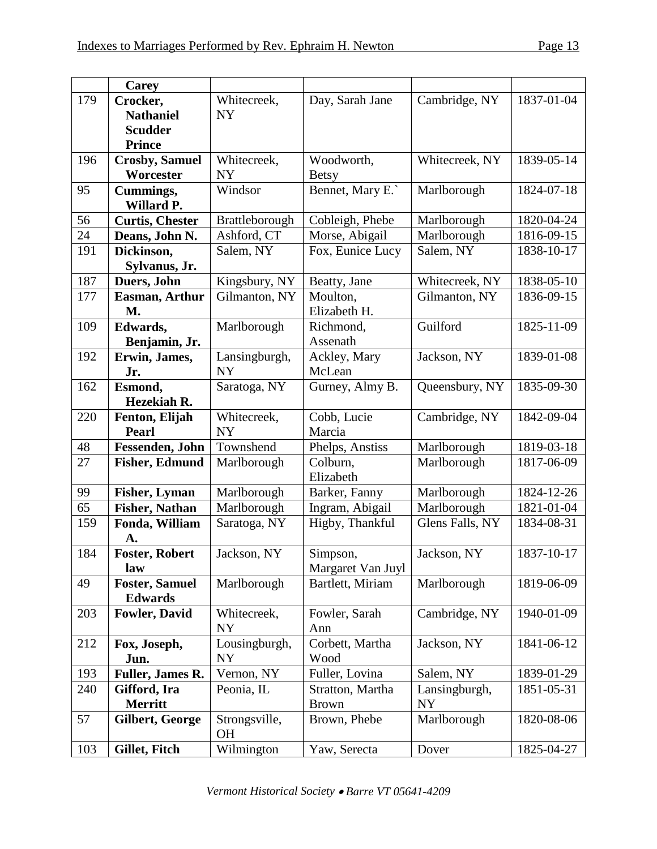|     | <b>Carey</b>            |                |                       |                 |            |
|-----|-------------------------|----------------|-----------------------|-----------------|------------|
| 179 | Crocker,                | Whitecreek,    | Day, Sarah Jane       | Cambridge, NY   | 1837-01-04 |
|     | <b>Nathaniel</b>        | <b>NY</b>      |                       |                 |            |
|     | <b>Scudder</b>          |                |                       |                 |            |
|     | <b>Prince</b>           |                |                       |                 |            |
| 196 | <b>Crosby, Samuel</b>   | Whitecreek,    | Woodworth,            | Whitecreek, NY  | 1839-05-14 |
|     | Worcester               | <b>NY</b>      | <b>Betsy</b>          |                 |            |
| 95  | Cummings,<br>Willard P. | Windsor        | Bennet, Mary E.       | Marlborough     | 1824-07-18 |
| 56  | <b>Curtis, Chester</b>  | Brattleborough | Cobleigh, Phebe       | Marlborough     | 1820-04-24 |
| 24  | Deans, John N.          | Ashford, CT    | Morse, Abigail        | Marlborough     | 1816-09-15 |
| 191 | Dickinson,              | Salem, NY      | Fox, Eunice Lucy      | Salem, NY       | 1838-10-17 |
|     | Sylvanus, Jr.           |                |                       |                 |            |
| 187 | Duers, John             | Kingsbury, NY  | Beatty, Jane          | Whitecreek, NY  | 1838-05-10 |
| 177 | <b>Easman, Arthur</b>   | Gilmanton, NY  | Moulton,              | Gilmanton, NY   | 1836-09-15 |
|     | M.                      |                | Elizabeth H.          |                 |            |
| 109 | Edwards,                | Marlborough    | Richmond,             | Guilford        | 1825-11-09 |
|     | Benjamin, Jr.           |                | Assenath              |                 |            |
| 192 | Erwin, James,           | Lansingburgh,  | Ackley, Mary          | Jackson, NY     | 1839-01-08 |
|     | Jr.                     | <b>NY</b>      | McLean                |                 |            |
| 162 | Esmond,                 | Saratoga, NY   | Gurney, Almy B.       | Queensbury, NY  | 1835-09-30 |
|     | Hezekiah R.             |                |                       |                 |            |
| 220 | Fenton, Elijah          | Whitecreek,    | Cobb, Lucie           | Cambridge, NY   | 1842-09-04 |
|     | <b>Pearl</b>            | <b>NY</b>      | Marcia                |                 |            |
| 48  | Fessenden, John         | Townshend      | Phelps, Anstiss       | Marlborough     | 1819-03-18 |
| 27  | <b>Fisher, Edmund</b>   | Marlborough    | Colburn,<br>Elizabeth | Marlborough     | 1817-06-09 |
| 99  | <b>Fisher, Lyman</b>    | Marlborough    | Barker, Fanny         | Marlborough     | 1824-12-26 |
| 65  | <b>Fisher, Nathan</b>   | Marlborough    | Ingram, Abigail       | Marlborough     | 1821-01-04 |
| 159 | Fonda, William          | Saratoga, NY   | Higby, Thankful       | Glens Falls, NY | 1834-08-31 |
|     | A.                      |                |                       |                 |            |
| 184 | <b>Foster, Robert</b>   | Jackson, NY    | Simpson,              | Jackson, NY     | 1837-10-17 |
|     | law                     |                | Margaret Van Juyl     |                 |            |
| 49  | <b>Foster, Samuel</b>   | Marlborough    | Bartlett, Miriam      | Marlborough     | 1819-06-09 |
|     | <b>Edwards</b>          |                |                       |                 |            |
| 203 | <b>Fowler, David</b>    | Whitecreek,    | Fowler, Sarah         | Cambridge, NY   | 1940-01-09 |
|     |                         | <b>NY</b>      | Ann                   |                 |            |
| 212 | Fox, Joseph,            | Lousingburgh,  | Corbett, Martha       | Jackson, NY     | 1841-06-12 |
|     | Jun.                    | <b>NY</b>      | Wood                  |                 |            |
| 193 | Fuller, James R.        | Vernon, NY     | Fuller, Lovina        | Salem, NY       | 1839-01-29 |
| 240 | Gifford, Ira            | Peonia, IL     | Stratton, Martha      | Lansingburgh,   | 1851-05-31 |
|     | <b>Merritt</b>          |                | <b>Brown</b>          | <b>NY</b>       |            |
| 57  | <b>Gilbert, George</b>  | Strongsville,  | Brown, Phebe          | Marlborough     | 1820-08-06 |
|     |                         | <b>OH</b>      |                       |                 |            |
| 103 | Gillet, Fitch           | Wilmington     | Yaw, Serecta          | Dover           | 1825-04-27 |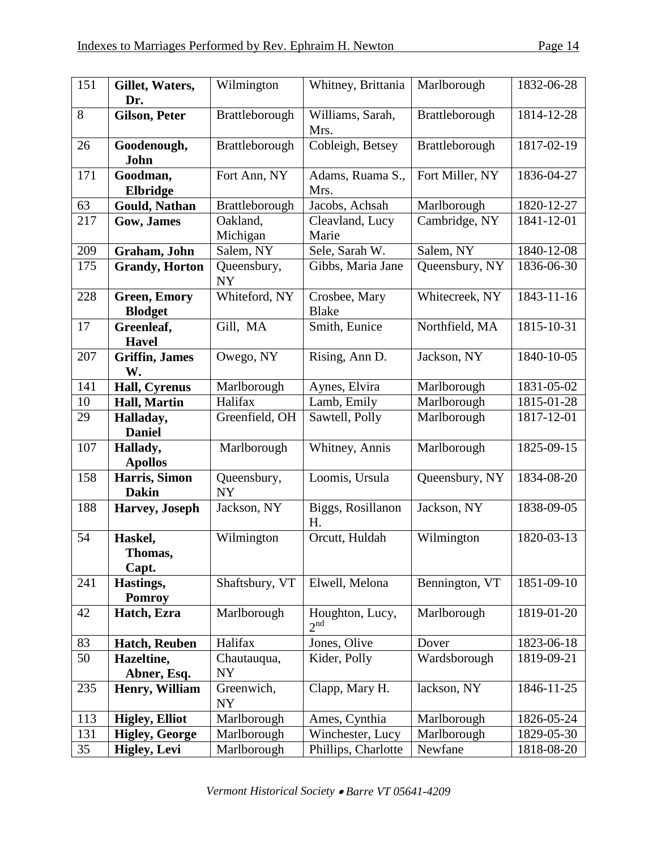| 151 | Gillet, Waters,<br>Dr.                | Wilmington               | Whitney, Brittania                 | Marlborough     | 1832-06-28                  |
|-----|---------------------------------------|--------------------------|------------------------------------|-----------------|-----------------------------|
| 8   | <b>Gilson, Peter</b>                  | Brattleborough           | Williams, Sarah,<br>Mrs.           | Brattleborough  | 1814-12-28                  |
| 26  | Goodenough,<br>John                   | Brattleborough           | Cobleigh, Betsey                   | Brattleborough  | 1817-02-19                  |
| 171 | Goodman,<br>Elbridge                  | Fort Ann, NY             | Adams, Ruama S.,<br>Mrs.           | Fort Miller, NY | 1836-04-27                  |
| 63  | Gould, Nathan                         | Brattleborough           | Jacobs, Achsah                     | Marlborough     | 1820-12-27                  |
| 217 | Gow, James                            | Oakland,<br>Michigan     | Cleavland, Lucy<br>Marie           | Cambridge, NY   | 1841-12-01                  |
| 209 | Graham, John                          | Salem, NY                | Sele, Sarah W.                     | Salem, NY       | 1840-12-08                  |
| 175 | <b>Grandy</b> , Horton                | Queensbury,<br><b>NY</b> | Gibbs, Maria Jane                  | Queensbury, NY  | 1836-06-30                  |
| 228 | <b>Green, Emory</b><br><b>Blodget</b> | Whiteford, NY            | Crosbee, Mary<br><b>Blake</b>      | Whitecreek, NY  | 1843-11-16                  |
| 17  | Greenleaf,<br><b>Havel</b>            | Gill, MA                 | Smith, Eunice                      | Northfield, MA  | 1815-10-31                  |
| 207 | <b>Griffin</b> , James<br>W.          | Owego, NY                | Rising, Ann D.                     | Jackson, NY     | 1840-10-05                  |
| 141 | Hall, Cyrenus                         | Marlborough              | Aynes, Elvira                      | Marlborough     | 1831-05-02                  |
| 10  | <b>Hall, Martin</b>                   | Halifax                  | Lamb, Emily                        | Marlborough     | 1815-01-28                  |
| 29  | Halladay,<br><b>Daniel</b>            | Greenfield, OH           | Sawtell, Polly                     | Marlborough     | 1817-12-01                  |
| 107 | Hallady,<br><b>Apollos</b>            | Marlborough              | Whitney, Annis                     | Marlborough     | 1825-09-15                  |
| 158 | Harris, Simon<br><b>Dakin</b>         | Queensbury,<br><b>NY</b> | Loomis, Ursula                     | Queensbury, NY  | 1834-08-20                  |
| 188 | Harvey, Joseph                        | Jackson, NY              | Biggs, Rosillanon<br>H.            | Jackson, NY     | 1838-09-05                  |
| 54  | Haskel,<br>Thomas,<br>Capt.           | Wilmington               | Orcutt, Huldah                     | Wilmington      | 1820-03-13                  |
| 241 | Hastings,<br><b>Pomroy</b>            | Shaftsbury, VT           | Elwell, Melona                     | Bennington, VT  | 1851-09-10                  |
| 42  | Hatch, Ezra                           | Marlborough              | Houghton, Lucy,<br>2 <sup>nd</sup> | Marlborough     | 1819-01-20                  |
| 83  | <b>Hatch, Reuben</b>                  | Halifax                  | Jones, Olive                       | Dover           | 1823-06-18                  |
| 50  | Hazeltine,<br>Abner, Esq.             | Chautauqua,<br><b>NY</b> | Kider, Polly                       | Wardsborough    | 1819-09-21                  |
| 235 | Henry, William                        | Greenwich,<br><b>NY</b>  | Clapp, Mary H.                     | lackson, NY     | 1846-11-25                  |
| 113 | <b>Higley, Elliot</b>                 | Marlborough              | Ames, Cynthia                      | Marlborough     | 1826-05-24                  |
| 131 | <b>Higley, George</b>                 | Marlborough              | Winchester, Lucy                   | Marlborough     | $\overline{1829} - 05 - 30$ |
| 35  | <b>Higley, Levi</b>                   | Marlborough              | Phillips, Charlotte                | Newfane         | 1818-08-20                  |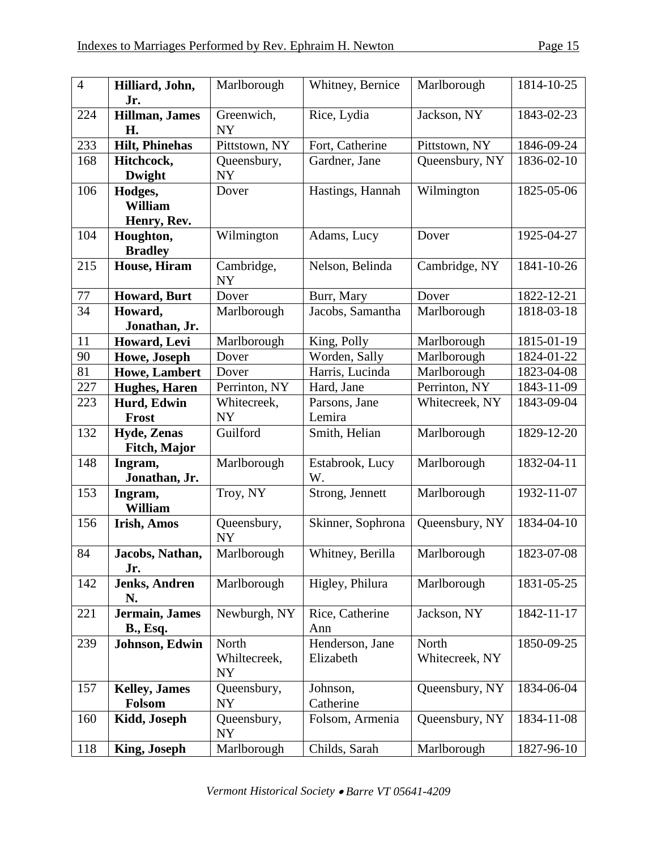| $\overline{4}$ | Hilliard, John,<br>Jr.                    | Marlborough                        | Whitney, Bernice             | Marlborough             | 1814-10-25       |
|----------------|-------------------------------------------|------------------------------------|------------------------------|-------------------------|------------------|
| 224            | Hillman, James<br>H.                      | Greenwich,<br><b>NY</b>            | Rice, Lydia                  | Jackson, NY             | 1843-02-23       |
| 233            | <b>Hilt, Phinehas</b>                     | Pittstown, NY                      | Fort, Catherine              | Pittstown, NY           | 1846-09-24       |
| 168            | Hitchcock,<br><b>Dwight</b>               | Queensbury,<br><b>NY</b>           | Gardner, Jane                | Queensbury, NY          | 1836-02-10       |
| 106            | Hodges,<br><b>William</b><br>Henry, Rev.  | Dover                              | Hastings, Hannah             | Wilmington              | 1825-05-06       |
| 104            | Houghton,<br><b>Bradley</b>               | Wilmington                         | Adams, Lucy                  | Dover                   | 1925-04-27       |
| 215            | House, Hiram                              | Cambridge,<br><b>NY</b>            | Nelson, Belinda              | Cambridge, NY           | 1841-10-26       |
| 77             | <b>Howard</b> , Burt                      | Dover                              | Burr, Mary                   | Dover                   | 1822-12-21       |
| 34             | Howard,<br>Jonathan, Jr.                  | Marlborough                        | Jacobs, Samantha             | Marlborough             | 1818-03-18       |
| 11             | Howard, Levi                              | Marlborough                        | King, Polly                  | Marlborough             | 1815-01-19       |
| 90             | Howe, Joseph                              | Dover                              | Worden, Sally                | Marlborough             | 1824-01-22       |
| 81             | <b>Howe, Lambert</b>                      | Dover                              | Harris, Lucinda              | Marlborough             | 1823-04-08       |
| 227            | <b>Hughes</b> , Haren                     | Perrinton, NY                      | Hard, Jane                   | Perrinton, NY           | 1843-11-09       |
| 223            | Hurd, Edwin<br><b>Frost</b>               | Whitecreek,<br>NY                  | Parsons, Jane<br>Lemira      | Whitecreek, NY          | 1843-09-04       |
| 132            | <b>Hyde, Zenas</b><br><b>Fitch, Major</b> | Guilford                           | Smith, Helian                | Marlborough             | $1829 - 12 - 20$ |
| 148            | Ingram,<br>Jonathan, Jr.                  | Marlborough                        | Estabrook, Lucy<br>W.        | Marlborough             | 1832-04-11       |
| 153            | Ingram,<br><b>William</b>                 | Troy, NY                           | Strong, Jennett              | Marlborough             | 1932-11-07       |
| 156            | <b>Irish, Amos</b>                        | Queensbury,<br><b>NY</b>           | Skinner, Sophrona            | Queensbury, NY          | 1834-04-10       |
| 84             | Jacobs, Nathan,<br>Jr.                    | Marlborough                        | Whitney, Berilla             | Marlborough             | 1823-07-08       |
| 142            | <b>Jenks, Andren</b><br>N.                | Marlborough                        | Higley, Philura              | Marlborough             | 1831-05-25       |
| 221            | Jermain, James<br><b>B., Esq.</b>         | Newburgh, NY                       | Rice, Catherine<br>Ann       | Jackson, NY             | 1842-11-17       |
| 239            | Johnson, Edwin                            | North<br>Whiltecreek,<br><b>NY</b> | Henderson, Jane<br>Elizabeth | North<br>Whitecreek, NY | 1850-09-25       |
| 157            | <b>Kelley</b> , James<br>Folsom           | Queensbury,<br><b>NY</b>           | Johnson,<br>Catherine        | Queensbury, NY          | 1834-06-04       |
| 160            | Kidd, Joseph                              | Queensbury,<br><b>NY</b>           | Folsom, Armenia              | Queensbury, NY          | 1834-11-08       |
| 118            | King, Joseph                              | Marlborough                        | Childs, Sarah                | Marlborough             | 1827-96-10       |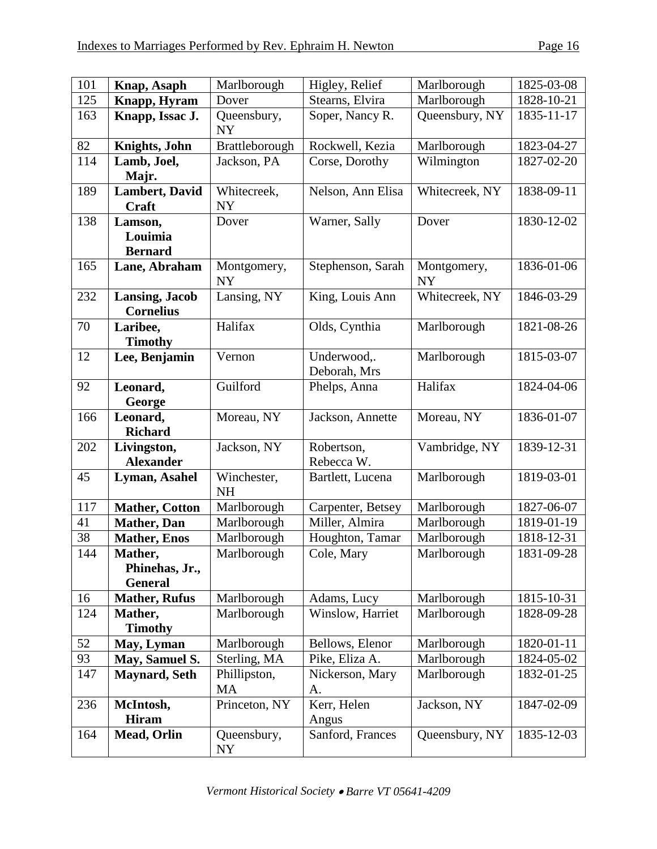| 101 | Knap, Asaph                                 | Marlborough              | Higley, Relief              | Marlborough              | 1825-03-08 |
|-----|---------------------------------------------|--------------------------|-----------------------------|--------------------------|------------|
| 125 | Knapp, Hyram                                | Dover                    | Stearns, Elvira             | Marlborough              | 1828-10-21 |
| 163 | Knapp, Issac J.                             | Queensbury,<br><b>NY</b> | Soper, Nancy R.             | Queensbury, NY           | 1835-11-17 |
| 82  | Knights, John                               | Brattleborough           | Rockwell, Kezia             | Marlborough              | 1823-04-27 |
| 114 | Lamb, Joel,<br>Majr.                        | Jackson, PA              | Corse, Dorothy              | Wilmington               | 1827-02-20 |
| 189 | <b>Lambert</b> , David<br>Craft             | Whitecreek,<br><b>NY</b> | Nelson, Ann Elisa           | Whitecreek, NY           | 1838-09-11 |
| 138 | Lamson,<br>Louimia<br><b>Bernard</b>        | Dover                    | Warner, Sally               | Dover                    | 1830-12-02 |
| 165 | Lane, Abraham                               | Montgomery,<br><b>NY</b> | Stephenson, Sarah           | Montgomery,<br><b>NY</b> | 1836-01-06 |
| 232 | <b>Lansing, Jacob</b><br><b>Cornelius</b>   | Lansing, NY              | King, Louis Ann             | Whitecreek, NY           | 1846-03-29 |
| 70  | Laribee,<br><b>Timothy</b>                  | Halifax                  | Olds, Cynthia               | Marlborough              | 1821-08-26 |
| 12  | Lee, Benjamin                               | Vernon                   | Underwood,.<br>Deborah, Mrs | Marlborough              | 1815-03-07 |
| 92  | Leonard,<br>George                          | Guilford                 | Phelps, Anna                | Halifax                  | 1824-04-06 |
| 166 | Leonard,<br><b>Richard</b>                  | Moreau, NY               | Jackson, Annette            | Moreau, NY               | 1836-01-07 |
| 202 | Livingston,<br><b>Alexander</b>             | Jackson, NY              | Robertson,<br>Rebecca W.    | Vambridge, NY            | 1839-12-31 |
| 45  | Lyman, Asahel                               | Winchester,<br><b>NH</b> | Bartlett, Lucena            | Marlborough              | 1819-03-01 |
| 117 | <b>Mather, Cotton</b>                       | Marlborough              | Carpenter, Betsey           | Marlborough              | 1827-06-07 |
| 41  | <b>Mather</b> , Dan                         | Marlborough              | Miller, Almira              | Marlborough              | 1819-01-19 |
| 38  | <b>Mather, Enos</b>                         | Marlborough              | Houghton, Tamar             | Marlborough              | 1818-12-31 |
| 144 | Mather,<br>Phinehas, Jr.,<br><b>General</b> | Marlborough              | Cole, Mary                  | Marlborough              | 1831-09-28 |
| 16  | <b>Mather, Rufus</b>                        | Marlborough              | Adams, Lucy                 | Marlborough              | 1815-10-31 |
| 124 | Mather,<br><b>Timothy</b>                   | Marlborough              | Winslow, Harriet            | Marlborough              | 1828-09-28 |
| 52  | May, Lyman                                  | Marlborough              | Bellows, Elenor             | Marlborough              | 1820-01-11 |
| 93  | May, Samuel S.                              | Sterling, MA             | Pike, Eliza A.              | Marlborough              | 1824-05-02 |
| 147 | <b>Maynard, Seth</b>                        | Phillipston,<br>MA       | Nickerson, Mary<br>A.       | Marlborough              | 1832-01-25 |
| 236 | McIntosh,<br><b>Hiram</b>                   | Princeton, NY            | Kerr, Helen<br>Angus        | Jackson, NY              | 1847-02-09 |
| 164 | Mead, Orlin                                 | Queensbury,<br>NY        | Sanford, Frances            | Queensbury, NY           | 1835-12-03 |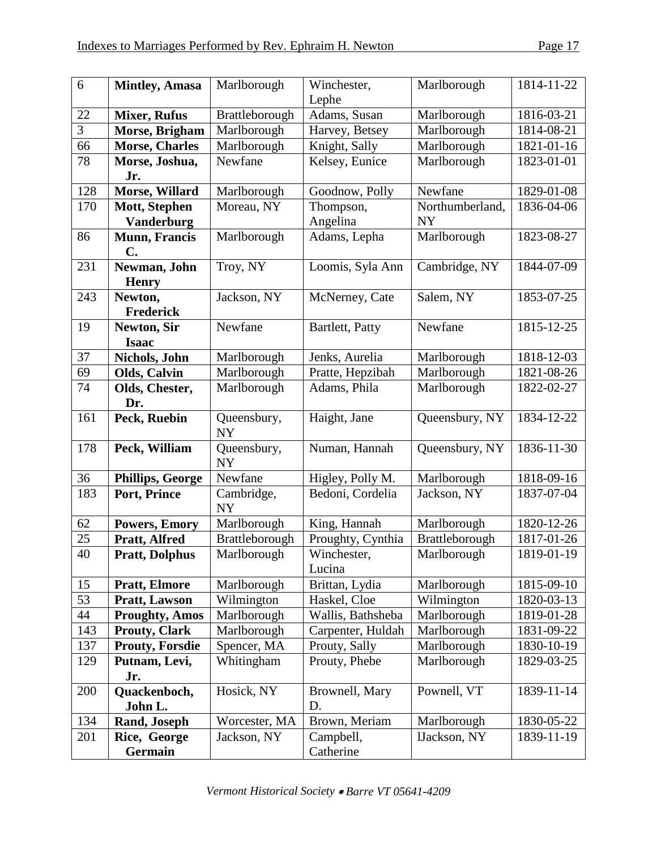| 6   | <b>Mintley, Amasa</b>   | Marlborough             | Winchester,       | Marlborough     | 1814-11-22 |
|-----|-------------------------|-------------------------|-------------------|-----------------|------------|
|     |                         |                         | Lephe             |                 |            |
| 22  | <b>Mixer, Rufus</b>     | Brattleborough          | Adams, Susan      | Marlborough     | 1816-03-21 |
| 3   | Morse, Brigham          | Marlborough             | Harvey, Betsey    | Marlborough     | 1814-08-21 |
| 66  | <b>Morse, Charles</b>   | Marlborough             | Knight, Sally     | Marlborough     | 1821-01-16 |
| 78  | Morse, Joshua,          | Newfane                 | Kelsey, Eunice    | Marlborough     | 1823-01-01 |
|     | Jr.                     |                         |                   |                 |            |
| 128 | Morse, Willard          | Marlborough             | Goodnow, Polly    | Newfane         | 1829-01-08 |
| 170 | Mott, Stephen           | Moreau, NY              | Thompson,         | Northumberland, | 1836-04-06 |
|     | <b>Vanderburg</b>       |                         | Angelina          | <b>NY</b>       |            |
| 86  | <b>Munn</b> , Francis   | Marlborough             | Adams, Lepha      | Marlborough     | 1823-08-27 |
|     | $C_{\bullet}$           |                         |                   |                 |            |
| 231 | Newman, John            | Troy, NY                | Loomis, Syla Ann  | Cambridge, NY   | 1844-07-09 |
| 243 | <b>Henry</b><br>Newton, | Jackson, NY             | McNerney, Cate    | Salem, NY       | 1853-07-25 |
|     | <b>Frederick</b>        |                         |                   |                 |            |
| 19  | Newton, Sir             | Newfane                 | Bartlett, Patty   | Newfane         | 1815-12-25 |
|     | <b>Isaac</b>            |                         |                   |                 |            |
| 37  | Nichols, John           | Marlborough             | Jenks, Aurelia    | Marlborough     | 1818-12-03 |
| 69  | Olds, Calvin            | Marlborough             | Pratte, Hepzibah  | Marlborough     | 1821-08-26 |
| 74  | Olds, Chester,          | Marlborough             | Adams, Phila      | Marlborough     | 1822-02-27 |
|     | Dr.                     |                         |                   |                 |            |
| 161 | Peck, Ruebin            | Queensbury,             | Haight, Jane      | Queensbury, NY  | 1834-12-22 |
|     |                         | <b>NY</b>               |                   |                 |            |
| 178 | Peck, William           | Queensbury,             | Numan, Hannah     | Queensbury, NY  | 1836-11-30 |
|     |                         | <b>NY</b>               |                   |                 |            |
| 36  | <b>Phillips, George</b> | Newfane                 | Higley, Polly M.  | Marlborough     | 1818-09-16 |
| 183 | Port, Prince            | Cambridge,<br><b>NY</b> | Bedoni, Cordelia  | Jackson, NY     | 1837-07-04 |
| 62  | <b>Powers, Emory</b>    | Marlborough             | King, Hannah      | Marlborough     | 1820-12-26 |
| 25  | Pratt, Alfred           | Brattleborough          | Proughty, Cynthia | Brattleborough  | 1817-01-26 |
| 40  | <b>Pratt, Dolphus</b>   | Marlborough             | Winchester,       | Marlborough     | 1819-01-19 |
|     |                         |                         | Lucina            |                 |            |
| 15  | <b>Pratt, Elmore</b>    | Marlborough             | Brittan, Lydia    | Marlborough     | 1815-09-10 |
| 53  | <b>Pratt, Lawson</b>    | Wilmington              | Haskel, Cloe      | Wilmington      | 1820-03-13 |
| 44  | <b>Proughty, Amos</b>   | Marlborough             | Wallis, Bathsheba | Marlborough     | 1819-01-28 |
| 143 | <b>Prouty, Clark</b>    | Marlborough             | Carpenter, Huldah | Marlborough     | 1831-09-22 |
| 137 | <b>Prouty, Forsdie</b>  | Spencer, MA             | Prouty, Sally     | Marlborough     | 1830-10-19 |
| 129 | Putnam, Levi,<br>Jr.    | Whitingham              | Prouty, Phebe     | Marlborough     | 1829-03-25 |
| 200 | Quackenboch,            | Hosick, NY              | Brownell, Mary    | Pownell, VT     | 1839-11-14 |
|     | John L.                 |                         | D.                |                 |            |
| 134 | Rand, Joseph            | Worcester, MA           | Brown, Meriam     | Marlborough     | 1830-05-22 |
| 201 | Rice, George            | Jackson, NY             | Campbell,         | lJackson, NY    | 1839-11-19 |
|     | Germain                 |                         | Catherine         |                 |            |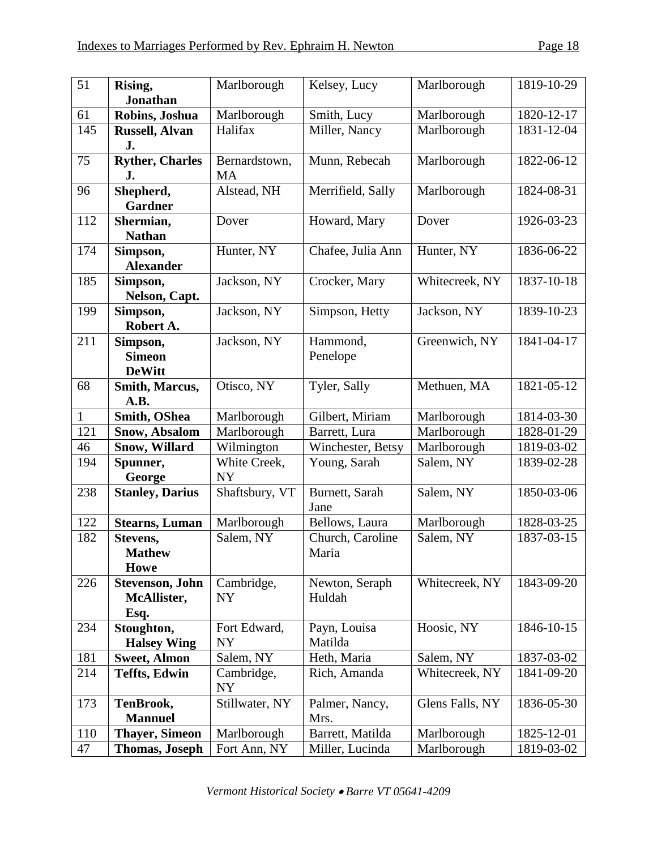| 51  | Rising,                                        | Marlborough                | Kelsey, Lucy              | Marlborough     | 1819-10-29 |
|-----|------------------------------------------------|----------------------------|---------------------------|-----------------|------------|
|     | <b>Jonathan</b>                                |                            |                           |                 |            |
| 61  | Robins, Joshua                                 | Marlborough                | Smith, Lucy               | Marlborough     | 1820-12-17 |
| 145 | <b>Russell, Alvan</b><br>J.                    | Halifax                    | Miller, Nancy             | Marlborough     | 1831-12-04 |
| 75  | <b>Ryther, Charles</b><br>J.                   | Bernardstown,<br><b>MA</b> | Munn, Rebecah             | Marlborough     | 1822-06-12 |
| 96  | Shepherd,<br><b>Gardner</b>                    | Alstead, NH                | Merrifield, Sally         | Marlborough     | 1824-08-31 |
| 112 | Shermian,<br><b>Nathan</b>                     | Dover                      | Howard, Mary              | Dover           | 1926-03-23 |
| 174 | Simpson,<br><b>Alexander</b>                   | Hunter, NY                 | Chafee, Julia Ann         | Hunter, NY      | 1836-06-22 |
| 185 | Simpson,<br>Nelson, Capt.                      | Jackson, NY                | Crocker, Mary             | Whitecreek, NY  | 1837-10-18 |
| 199 | Simpson,<br>Robert A.                          | Jackson, NY                | Simpson, Hetty            | Jackson, NY     | 1839-10-23 |
| 211 | Simpson,<br><b>Simeon</b><br><b>DeWitt</b>     | Jackson, NY                | Hammond,<br>Penelope      | Greenwich, NY   | 1841-04-17 |
| 68  | Smith, Marcus,<br>A.B.                         | Otisco, NY                 | Tyler, Sally              | Methuen, MA     | 1821-05-12 |
| 1   | Smith, OShea                                   | Marlborough                | Gilbert, Miriam           | Marlborough     | 1814-03-30 |
| 121 | <b>Snow, Absalom</b>                           | Marlborough                | Barrett, Lura             | Marlborough     | 1828-01-29 |
| 46  | Snow, Willard                                  | Wilmington                 | Winchester, Betsy         | Marlborough     | 1819-03-02 |
| 194 | Spunner,<br>George                             | White Creek,<br><b>NY</b>  | Young, Sarah              | Salem, NY       | 1839-02-28 |
| 238 | <b>Stanley, Darius</b>                         | Shaftsbury, VT             | Burnett, Sarah<br>Jane    | Salem, NY       | 1850-03-06 |
| 122 | <b>Stearns, Luman</b>                          | Marlborough                | Bellows, Laura            | Marlborough     | 1828-03-25 |
| 182 | Stevens,<br><b>Mathew</b><br><b>Howe</b>       | Salem, NY                  | Church, Caroline<br>Maria | Salem, NY       | 1837-03-15 |
| 226 | <b>Stevenson</b> , John<br>McAllister,<br>Esq. | Cambridge,<br><b>NY</b>    | Newton, Seraph<br>Huldah  | Whitecreek, NY  | 1843-09-20 |
| 234 | Stoughton,<br><b>Halsey Wing</b>               | Fort Edward,<br><b>NY</b>  | Payn, Louisa<br>Matilda   | Hoosic, NY      | 1846-10-15 |
| 181 | <b>Sweet, Almon</b>                            | Salem, NY                  | Heth, Maria               | Salem, NY       | 1837-03-02 |
| 214 | <b>Teffts, Edwin</b>                           | Cambridge,<br>NY           | Rich, Amanda              | Whitecreek, NY  | 1841-09-20 |
| 173 | TenBrook,<br><b>Mannuel</b>                    | Stillwater, NY             | Palmer, Nancy,<br>Mrs.    | Glens Falls, NY | 1836-05-30 |
| 110 | <b>Thayer, Simeon</b>                          | Marlborough                | Barrett, Matilda          | Marlborough     | 1825-12-01 |
| 47  | <b>Thomas, Joseph</b>                          | Fort Ann, NY               | Miller, Lucinda           | Marlborough     | 1819-03-02 |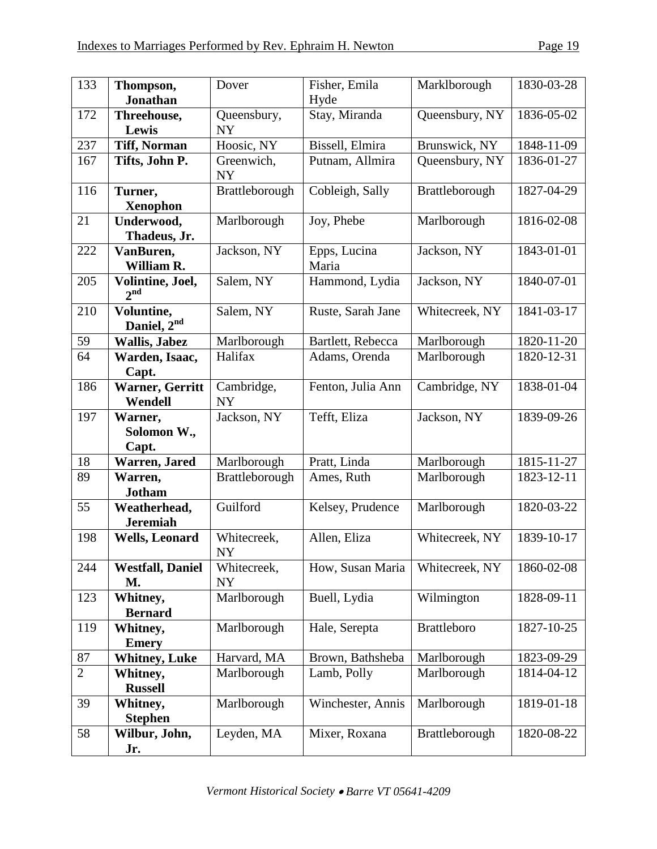| 133            | Thompson,<br><b>Jonathan</b>        | Dover                    | Fisher, Emila<br>Hyde | Marklborough       | 1830-03-28              |
|----------------|-------------------------------------|--------------------------|-----------------------|--------------------|-------------------------|
| 172            | Threehouse,<br>Lewis                | Queensbury,<br><b>NY</b> | Stay, Miranda         | Queensbury, NY     | 1836-05-02              |
| 237            | <b>Tiff, Norman</b>                 | Hoosic, NY               | Bissell, Elmira       | Brunswick, NY      | 1848-11-09              |
| 167            | Tifts, John P.                      | Greenwich,<br><b>NY</b>  | Putnam, Allmira       | Queensbury, NY     | 1836-01-27              |
| 116            | Turner,<br><b>Xenophon</b>          | Brattleborough           | Cobleigh, Sally       | Brattleborough     | 1827-04-29              |
| 21             | Underwood,<br>Thadeus, Jr.          | Marlborough              | Joy, Phebe            | Marlborough        | 1816-02-08              |
| 222            | VanBuren,<br>William R.             | Jackson, NY              | Epps, Lucina<br>Maria | Jackson, NY        | 1843-01-01              |
| 205            | Volintine, Joel,<br>2 <sup>nd</sup> | Salem, NY                | Hammond, Lydia        | Jackson, NY        | 1840-07-01              |
| 210            | Voluntine,<br>Daniel, $2^{nd}$      | Salem, NY                | Ruste, Sarah Jane     | Whitecreek, NY     | 1841-03-17              |
| 59             | <b>Wallis, Jabez</b>                | Marlborough              | Bartlett, Rebecca     | Marlborough        | 1820-11-20              |
| 64             | Warden, Isaac,<br>Capt.             | Halifax                  | Adams, Orenda         | Marlborough        | 1820-12-31              |
| 186            | <b>Warner, Gerritt</b><br>Wendell   | Cambridge,<br><b>NY</b>  | Fenton, Julia Ann     | Cambridge, NY      | 1838-01-04              |
| 197            | Warner,<br>Solomon W.,<br>Capt.     | Jackson, NY              | Tefft, Eliza          | Jackson, NY        | 1839-09-26              |
| 18             | Warren, Jared                       | Marlborough              | Pratt, Linda          | Marlborough        | 1815-11-27              |
| 89             | Warren,<br><b>Jotham</b>            | Brattleborough           | Ames, Ruth            | Marlborough        | 1823-12-11              |
| 55             | Weatherhead,<br><b>Jeremiah</b>     | Guilford                 | Kelsey, Prudence      | Marlborough        | 1820-03-22              |
| 198            | <b>Wells, Leonard</b>               | Whitecreek,<br><b>NY</b> | Allen, Eliza          | Whitecreek, NY     | 1839-10-17              |
| 244            | <b>Westfall, Daniel</b><br>M.       | Whitecreek,<br><b>NY</b> | How, Susan Maria      | Whitecreek, NY     | 1860-02-08              |
| 123            | Whitney,<br><b>Bernard</b>          | Marlborough              | Buell, Lydia          | Wilmington         | 1828-09-11              |
| 119            | Whitney,<br><b>Emery</b>            | Marlborough              | Hale, Serepta         | <b>Brattleboro</b> | $\overline{1827-10-25}$ |
| 87             | <b>Whitney</b> , Luke               | Harvard, MA              | Brown, Bathsheba      | Marlborough        | 1823-09-29              |
| $\overline{2}$ | Whitney,<br><b>Russell</b>          | Marlborough              | Lamb, Polly           | Marlborough        | 1814-04-12              |
| 39             | Whitney,<br><b>Stephen</b>          | Marlborough              | Winchester, Annis     | Marlborough        | 1819-01-18              |
| 58             | Wilbur, John,<br>Jr.                | Leyden, MA               | Mixer, Roxana         | Brattleborough     | 1820-08-22              |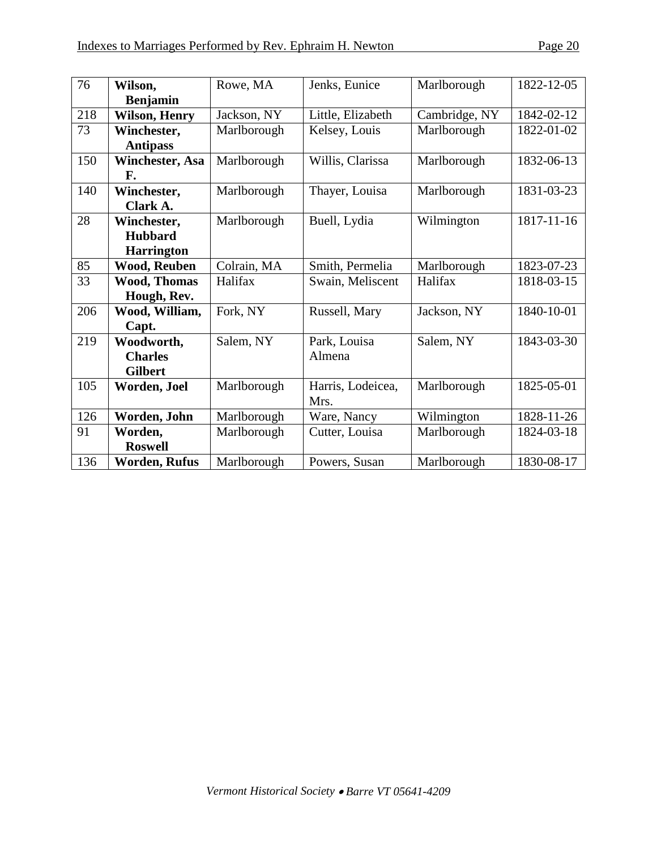| 76  | Wilson,                | Rowe, MA    | Jenks, Eunice     | Marlborough   | 1822-12-05 |
|-----|------------------------|-------------|-------------------|---------------|------------|
|     | <b>Benjamin</b>        |             |                   |               |            |
| 218 | <b>Wilson, Henry</b>   | Jackson, NY | Little, Elizabeth | Cambridge, NY | 1842-02-12 |
| 73  | Winchester,            | Marlborough | Kelsey, Louis     | Marlborough   | 1822-01-02 |
|     | <b>Antipass</b>        |             |                   |               |            |
| 150 | <b>Winchester, Asa</b> | Marlborough | Willis, Clarissa  | Marlborough   | 1832-06-13 |
|     | F.                     |             |                   |               |            |
| 140 | Winchester,            | Marlborough | Thayer, Louisa    | Marlborough   | 1831-03-23 |
|     | Clark A.               |             |                   |               |            |
| 28  | Winchester,            | Marlborough | Buell, Lydia      | Wilmington    | 1817-11-16 |
|     | <b>Hubbard</b>         |             |                   |               |            |
|     | <b>Harrington</b>      |             |                   |               |            |
| 85  | <b>Wood, Reuben</b>    | Colrain, MA | Smith, Permelia   | Marlborough   | 1823-07-23 |
| 33  | <b>Wood, Thomas</b>    | Halifax     | Swain, Meliscent  | Halifax       | 1818-03-15 |
|     | Hough, Rev.            |             |                   |               |            |
| 206 | Wood, William,         | Fork, NY    | Russell, Mary     | Jackson, NY   | 1840-10-01 |
|     | Capt.                  |             |                   |               |            |
| 219 | Woodworth,             | Salem, NY   | Park, Louisa      | Salem, NY     | 1843-03-30 |
|     | <b>Charles</b>         |             | Almena            |               |            |
|     | <b>Gilbert</b>         |             |                   |               |            |
| 105 | Worden, Joel           | Marlborough | Harris, Lodeicea, | Marlborough   | 1825-05-01 |
|     |                        |             | Mrs.              |               |            |
| 126 | Worden, John           | Marlborough | Ware, Nancy       | Wilmington    | 1828-11-26 |
| 91  | Worden,                | Marlborough | Cutter, Louisa    | Marlborough   | 1824-03-18 |
|     | <b>Roswell</b>         |             |                   |               |            |
| 136 | <b>Worden, Rufus</b>   | Marlborough | Powers, Susan     | Marlborough   | 1830-08-17 |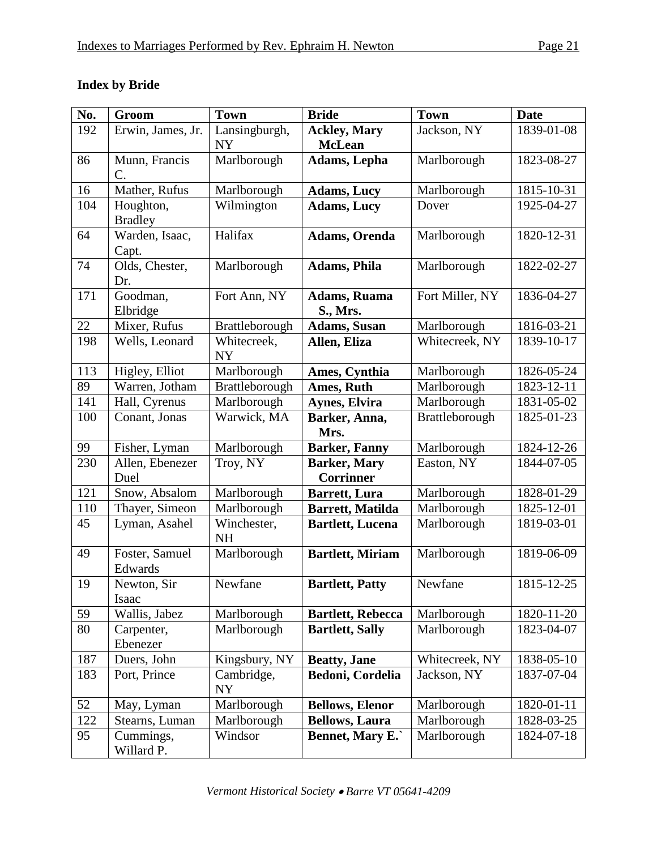|  |  | <b>Index by Bride</b> |
|--|--|-----------------------|
|--|--|-----------------------|

| No. | Groom                | <b>Town</b>              | <b>Bride</b>             | <b>Town</b>     | <b>Date</b> |
|-----|----------------------|--------------------------|--------------------------|-----------------|-------------|
| 192 | Erwin, James, Jr.    | Lansingburgh,            | <b>Ackley, Mary</b>      | Jackson, NY     | 1839-01-08  |
|     |                      | <b>NY</b>                | <b>McLean</b>            |                 |             |
| 86  | Munn, Francis        | Marlborough              | Adams, Lepha             | Marlborough     | 1823-08-27  |
|     | C.                   |                          |                          |                 |             |
| 16  | Mather, Rufus        | Marlborough              | <b>Adams, Lucy</b>       | Marlborough     | 1815-10-31  |
| 104 | Houghton,            | Wilmington               | <b>Adams, Lucy</b>       | Dover           | 1925-04-27  |
|     | <b>Bradley</b>       |                          |                          |                 |             |
| 64  | Warden, Isaac,       | Halifax                  | <b>Adams, Orenda</b>     | Marlborough     | 1820-12-31  |
|     | Capt.                |                          |                          |                 |             |
| 74  | Olds, Chester,       | Marlborough              | <b>Adams</b> , Phila     | Marlborough     | 1822-02-27  |
|     | Dr.                  |                          |                          |                 |             |
| 171 | Goodman,             | Fort Ann, NY             | <b>Adams, Ruama</b>      | Fort Miller, NY | 1836-04-27  |
|     | Elbridge             |                          | <b>S., Mrs.</b>          |                 |             |
| 22  | Mixer, Rufus         | Brattleborough           | <b>Adams, Susan</b>      | Marlborough     | 1816-03-21  |
| 198 | Wells, Leonard       | Whitecreek,<br><b>NY</b> | Allen, Eliza             | Whitecreek, NY  | 1839-10-17  |
| 113 | Higley, Elliot       | Marlborough              | Ames, Cynthia            | Marlborough     | 1826-05-24  |
| 89  | Warren, Jotham       | Brattleborough           | Ames, Ruth               | Marlborough     | 1823-12-11  |
| 141 | Hall, Cyrenus        | Marlborough              | <b>Aynes, Elvira</b>     | Marlborough     | 1831-05-02  |
| 100 | Conant, Jonas        | Warwick, MA              | Barker, Anna,<br>Mrs.    | Brattleborough  | 1825-01-23  |
| 99  | Fisher, Lyman        | Marlborough              | <b>Barker, Fanny</b>     | Marlborough     | 1824-12-26  |
| 230 | Allen, Ebenezer      | Troy, NY                 | <b>Barker</b> , Mary     | Easton, NY      | 1844-07-05  |
|     | Duel                 |                          | <b>Corrinner</b>         |                 |             |
| 121 | Snow, Absalom        | Marlborough              | <b>Barrett</b> , Lura    | Marlborough     | 1828-01-29  |
| 110 | Thayer, Simeon       | Marlborough              | <b>Barrett, Matilda</b>  | Marlborough     | 1825-12-01  |
| 45  | Lyman, Asahel        | Winchester,<br><b>NH</b> | <b>Bartlett, Lucena</b>  | Marlborough     | 1819-03-01  |
| 49  | Foster, Samuel       | Marlborough              | <b>Bartlett, Miriam</b>  | Marlborough     | 1819-06-09  |
|     | Edwards              |                          |                          |                 |             |
| 19  | Newton, Sir<br>Isaac | Newfane                  | <b>Bartlett, Patty</b>   | Newfane         | 1815-12-25  |
| 59  | Wallis, Jabez        | Marlborough              | <b>Bartlett, Rebecca</b> | Marlborough     | 1820-11-20  |
| 80  | Carpenter,           | Marlborough              | <b>Bartlett, Sally</b>   | Marlborough     | 1823-04-07  |
|     | Ebenezer             |                          |                          |                 |             |
| 187 | Duers, John          | Kingsbury, NY            | <b>Beatty</b> , Jane     | Whitecreek, NY  | 1838-05-10  |
| 183 | Port, Prince         | Cambridge,<br><b>NY</b>  | <b>Bedoni</b> , Cordelia | Jackson, NY     | 1837-07-04  |
| 52  | May, Lyman           | Marlborough              | <b>Bellows, Elenor</b>   | Marlborough     | 1820-01-11  |
| 122 | Stearns, Luman       | Marlborough              | <b>Bellows, Laura</b>    | Marlborough     | 1828-03-25  |
| 95  | Cummings,            | Windsor                  | <b>Bennet, Mary E.</b>   | Marlborough     | 1824-07-18  |
|     | Willard P.           |                          |                          |                 |             |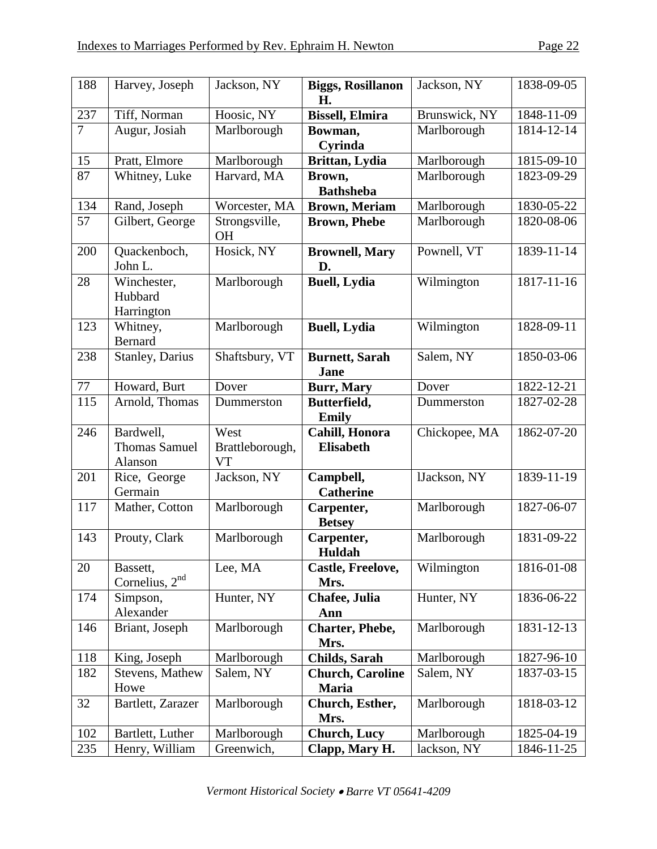| 188            | Harvey, Joseph                               | Jackson, NY                   | <b>Biggs, Rosillanon</b><br>Н.          | Jackson, NY   | 1838-09-05 |
|----------------|----------------------------------------------|-------------------------------|-----------------------------------------|---------------|------------|
| 237            | Tiff, Norman                                 | Hoosic, NY                    | <b>Bissell, Elmira</b>                  | Brunswick, NY | 1848-11-09 |
| $\overline{7}$ | Augur, Josiah                                | Marlborough                   | Bowman,<br>Cyrinda                      | Marlborough   | 1814-12-14 |
| 15             | Pratt, Elmore                                | Marlborough                   | Brittan, Lydia                          | Marlborough   | 1815-09-10 |
| 87             | Whitney, Luke                                | Harvard, MA                   | Brown,<br><b>Bathsheba</b>              | Marlborough   | 1823-09-29 |
| 134            | Rand, Joseph                                 | Worcester, MA                 | <b>Brown, Meriam</b>                    | Marlborough   | 1830-05-22 |
| 57             | Gilbert, George                              | Strongsville,<br><b>OH</b>    | <b>Brown, Phebe</b>                     | Marlborough   | 1820-08-06 |
| 200            | Quackenboch,<br>John L.                      | Hosick, NY                    | <b>Brownell, Mary</b><br>D.             | Pownell, VT   | 1839-11-14 |
| 28             | Winchester,<br>Hubbard<br>Harrington         | Marlborough                   | <b>Buell</b> , Lydia                    | Wilmington    | 1817-11-16 |
| 123            | Whitney,<br>Bernard                          | Marlborough                   | <b>Buell</b> , Lydia                    | Wilmington    | 1828-09-11 |
| 238            | <b>Stanley</b> , Darius                      | Shaftsbury, VT                | <b>Burnett</b> , Sarah<br><b>Jane</b>   | Salem, NY     | 1850-03-06 |
| 77             | Howard, Burt                                 | Dover                         | <b>Burr, Mary</b>                       | Dover         | 1822-12-21 |
| 115            | Arnold, Thomas                               | Dummerston                    | Butterfield,<br><b>Emily</b>            | Dummerston    | 1827-02-28 |
| 246            | Bardwell,<br><b>Thomas Samuel</b><br>Alanson | West<br>Brattleborough,<br>VT | Cahill, Honora<br><b>Elisabeth</b>      | Chickopee, MA | 1862-07-20 |
| 201            | Rice, George<br>Germain                      | Jackson, NY                   | Campbell,<br><b>Catherine</b>           | lJackson, NY  | 1839-11-19 |
| 117            | Mather, Cotton                               | Marlborough                   | Carpenter,<br><b>Betsey</b>             | Marlborough   | 1827-06-07 |
| 143            | Prouty, Clark                                | Marlborough                   | Carpenter,<br>Huldah                    | Marlborough   | 1831-09-22 |
| 20             | Bassett,<br>Cornelius, $2nd$                 | Lee, MA                       | Castle, Freelove,<br>Mrs.               | Wilmington    | 1816-01-08 |
| 174            | Simpson,<br>Alexander                        | Hunter, NY                    | Chafee, Julia<br>Ann                    | Hunter, NY    | 1836-06-22 |
| 146            | Briant, Joseph                               | Marlborough                   | <b>Charter</b> , Phebe,<br>Mrs.         | Marlborough   | 1831-12-13 |
| 118            | King, Joseph                                 | Marlborough                   | <b>Childs</b> , Sarah                   | Marlborough   | 1827-96-10 |
| 182            | Stevens, Mathew<br>Howe                      | Salem, NY                     | <b>Church, Caroline</b><br><b>Maria</b> | Salem, NY     | 1837-03-15 |
| 32             | Bartlett, Zarazer                            | Marlborough                   | Church, Esther,<br>Mrs.                 | Marlborough   | 1818-03-12 |
| 102            | Bartlett, Luther                             | Marlborough                   | <b>Church</b> , Lucy                    | Marlborough   | 1825-04-19 |
| 235            | Henry, William                               | Greenwich,                    | Clapp, Mary H.                          | lackson, NY   | 1846-11-25 |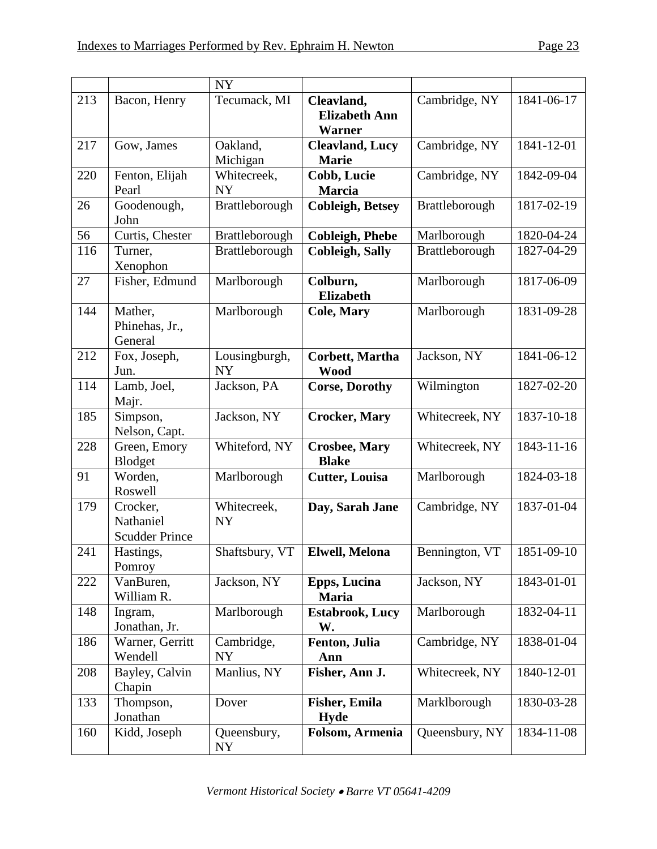|     |                                                | <b>NY</b>                  |                                                     |                |            |
|-----|------------------------------------------------|----------------------------|-----------------------------------------------------|----------------|------------|
| 213 | Bacon, Henry                                   | Tecumack, MI               | Cleavland,<br><b>Elizabeth Ann</b><br><b>Warner</b> | Cambridge, NY  | 1841-06-17 |
| 217 | Gow, James                                     | Oakland,<br>Michigan       | <b>Cleavland, Lucy</b><br><b>Marie</b>              | Cambridge, NY  | 1841-12-01 |
| 220 | Fenton, Elijah<br>Pearl                        | Whitecreek,<br><b>NY</b>   | Cobb, Lucie<br><b>Marcia</b>                        | Cambridge, NY  | 1842-09-04 |
| 26  | Goodenough,<br>John                            | Brattleborough             | <b>Cobleigh, Betsey</b>                             | Brattleborough | 1817-02-19 |
| 56  | Curtis, Chester                                | Brattleborough             | <b>Cobleigh, Phebe</b>                              | Marlborough    | 1820-04-24 |
| 116 | Turner,<br>Xenophon                            | Brattleborough             | <b>Cobleigh, Sally</b>                              | Brattleborough | 1827-04-29 |
| 27  | Fisher, Edmund                                 | Marlborough                | Colburn,<br><b>Elizabeth</b>                        | Marlborough    | 1817-06-09 |
| 144 | Mather,<br>Phinehas, Jr.,<br>General           | Marlborough                | <b>Cole, Mary</b>                                   | Marlborough    | 1831-09-28 |
| 212 | Fox, Joseph,<br>Jun.                           | Lousingburgh,<br><b>NY</b> | <b>Corbett, Martha</b><br><b>Wood</b>               | Jackson, NY    | 1841-06-12 |
| 114 | Lamb, Joel,<br>Majr.                           | Jackson, PA                | <b>Corse, Dorothy</b>                               | Wilmington     | 1827-02-20 |
| 185 | Simpson,<br>Nelson, Capt.                      | Jackson, NY                | <b>Crocker, Mary</b>                                | Whitecreek, NY | 1837-10-18 |
| 228 | Green, Emory<br>Blodget                        | Whiteford, NY              | <b>Crosbee, Mary</b><br><b>Blake</b>                | Whitecreek, NY | 1843-11-16 |
| 91  | Worden,<br>Roswell                             | Marlborough                | <b>Cutter, Louisa</b>                               | Marlborough    | 1824-03-18 |
| 179 | Crocker,<br>Nathaniel<br><b>Scudder Prince</b> | Whitecreek,<br><b>NY</b>   | Day, Sarah Jane                                     | Cambridge, NY  | 1837-01-04 |
| 241 | Hastings,<br>Pomroy                            | Shaftsbury, VT             | <b>Elwell, Melona</b>                               | Bennington, VT | 1851-09-10 |
| 222 | VanBuren,<br>William R.                        | Jackson, NY                | <b>Epps, Lucina</b><br><b>Maria</b>                 | Jackson, NY    | 1843-01-01 |
| 148 | Ingram,<br>Jonathan, Jr.                       | Marlborough                | <b>Estabrook, Lucy</b><br>W.                        | Marlborough    | 1832-04-11 |
| 186 | Warner, Gerritt<br>Wendell                     | Cambridge,<br><b>NY</b>    | Fenton, Julia<br>Ann                                | Cambridge, NY  | 1838-01-04 |
| 208 | Bayley, Calvin<br>Chapin                       | Manlius, NY                | Fisher, Ann J.                                      | Whitecreek, NY | 1840-12-01 |
| 133 | Thompson,<br>Jonathan                          | Dover                      | <b>Fisher, Emila</b><br><b>Hyde</b>                 | Marklborough   | 1830-03-28 |
| 160 | Kidd, Joseph                                   | Queensbury,<br>NY          | Folsom, Armenia                                     | Queensbury, NY | 1834-11-08 |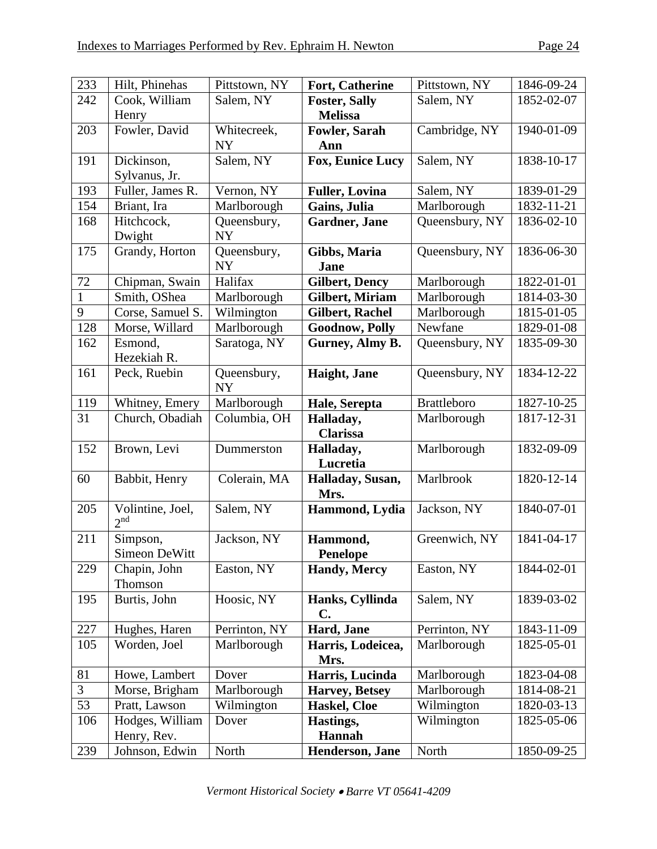| 233          | Hilt, Phinehas                      | Pittstown, NY            | <b>Fort, Catherine</b>            | Pittstown, NY      | 1846-09-24 |
|--------------|-------------------------------------|--------------------------|-----------------------------------|--------------------|------------|
| 242          | Cook, William                       | Salem, NY                | <b>Foster, Sally</b>              | Salem, NY          | 1852-02-07 |
|              | Henry                               |                          | <b>Melissa</b>                    |                    |            |
| 203          | Fowler, David                       | Whitecreek,              | <b>Fowler, Sarah</b>              | Cambridge, NY      | 1940-01-09 |
|              |                                     | <b>NY</b>                | Ann                               |                    |            |
| 191          | Dickinson,                          | Salem, NY                | <b>Fox, Eunice Lucy</b>           | Salem, NY          | 1838-10-17 |
|              | Sylvanus, Jr.                       |                          |                                   |                    |            |
| 193          | Fuller, James R.                    | Vernon, NY               | <b>Fuller, Lovina</b>             | Salem, NY          | 1839-01-29 |
| 154          | Briant, Ira                         | Marlborough              | Gains, Julia                      | Marlborough        | 1832-11-21 |
| 168          | Hitchcock,                          | Queensbury,              | Gardner, Jane                     | Queensbury, NY     | 1836-02-10 |
|              | Dwight                              | <b>NY</b>                |                                   |                    |            |
| 175          | Grandy, Horton                      | Queensbury,<br><b>NY</b> | Gibbs, Maria<br>Jane              | Queensbury, NY     | 1836-06-30 |
| 72           | Chipman, Swain                      | Halifax                  | <b>Gilbert, Dency</b>             | Marlborough        | 1822-01-01 |
| $\mathbf{1}$ | Smith, OShea                        | Marlborough              | <b>Gilbert, Miriam</b>            | Marlborough        | 1814-03-30 |
| 9            | Corse, Samuel S.                    | Wilmington               | <b>Gilbert, Rachel</b>            | Marlborough        | 1815-01-05 |
| 128          | Morse, Willard                      | Marlborough              | <b>Goodnow, Polly</b>             | Newfane            | 1829-01-08 |
| 162          | Esmond,                             | Saratoga, NY             | Gurney, Almy B.                   | Queensbury, NY     | 1835-09-30 |
|              | Hezekiah R.                         |                          |                                   |                    |            |
| 161          | Peck, Ruebin                        | Queensbury,<br><b>NY</b> | Haight, Jane                      | Queensbury, NY     | 1834-12-22 |
| 119          | Whitney, Emery                      | Marlborough              | Hale, Serepta                     | <b>Brattleboro</b> | 1827-10-25 |
| 31           | Church, Obadiah                     | Columbia, OH             | Halladay,                         | Marlborough        | 1817-12-31 |
|              |                                     |                          | <b>Clarissa</b>                   |                    |            |
| 152          | Brown, Levi                         | Dummerston               | Halladay,                         | Marlborough        | 1832-09-09 |
|              |                                     |                          | Lucretia                          |                    |            |
| 60           | Babbit, Henry                       | Colerain, MA             | Halladay, Susan,                  | Marlbrook          | 1820-12-14 |
|              |                                     |                          | Mrs.                              |                    |            |
| 205          | Volintine, Joel,<br>2 <sup>nd</sup> | Salem, NY                | Hammond, Lydia                    | Jackson, NY        | 1840-07-01 |
| 211          | Simpson,                            | Jackson, NY              | Hammond,                          | Greenwich, NY      | 1841-04-17 |
|              | Simeon DeWitt                       |                          | <b>Penelope</b>                   |                    |            |
| 229          | Chapin, John                        | Easton, NY               | <b>Handy</b> , Mercy              | Easton, NY         | 1844-02-01 |
|              | Thomson                             |                          |                                   |                    |            |
| 195          | Burtis, John                        | Hoosic, NY               | Hanks, Cyllinda<br>$\mathbf{C}$ . | Salem, NY          | 1839-03-02 |
| 227          | Hughes, Haren                       | Perrinton, NY            | Hard, Jane                        | Perrinton, NY      | 1843-11-09 |
| 105          | Worden, Joel                        | Marlborough              | Harris, Lodeicea,                 | Marlborough        | 1825-05-01 |
|              |                                     |                          | Mrs.                              |                    |            |
| 81           | Howe, Lambert                       | Dover                    | Harris, Lucinda                   | Marlborough        | 1823-04-08 |
| 3            | Morse, Brigham                      | Marlborough              | <b>Harvey</b> , Betsey            | Marlborough        | 1814-08-21 |
| 53           | Pratt, Lawson                       | Wilmington               | Haskel, Cloe                      | Wilmington         | 1820-03-13 |
| 106          | Hodges, William                     | Dover                    | Hastings,                         | Wilmington         | 1825-05-06 |
|              | Henry, Rev.                         |                          | <b>Hannah</b>                     |                    |            |
| 239          | Johnson, Edwin                      | North                    | Henderson, Jane                   | North              | 1850-09-25 |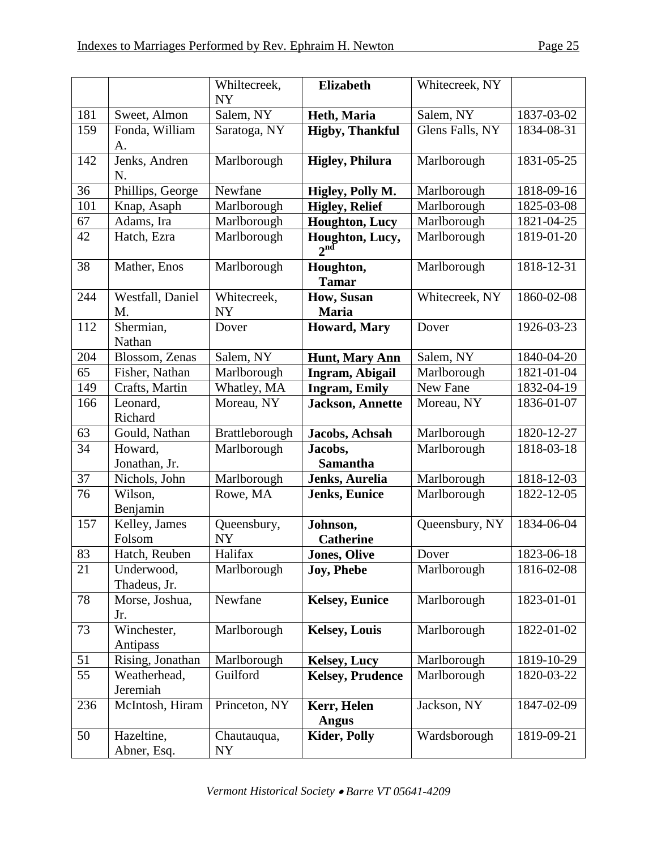|     |                            | Whiltecreek,<br><b>NY</b> | <b>Elizabeth</b>                   | Whitecreek, NY  |            |
|-----|----------------------------|---------------------------|------------------------------------|-----------------|------------|
| 181 | Sweet, Almon               | Salem, NY                 | Heth, Maria                        | Salem, NY       | 1837-03-02 |
| 159 | Fonda, William<br>A.       | Saratoga, NY              | <b>Higby, Thankful</b>             | Glens Falls, NY | 1834-08-31 |
| 142 | Jenks, Andren<br>N.        | Marlborough               | <b>Higley, Philura</b>             | Marlborough     | 1831-05-25 |
| 36  | Phillips, George           | Newfane                   | Higley, Polly M.                   | Marlborough     | 1818-09-16 |
| 101 | Knap, Asaph                | Marlborough               | <b>Higley, Relief</b>              | Marlborough     | 1825-03-08 |
| 67  | Adams, Ira                 | Marlborough               | <b>Houghton, Lucy</b>              | Marlborough     | 1821-04-25 |
| 42  | Hatch, Ezra                | Marlborough               | Houghton, Lucy,<br>$2^{\text{nd}}$ | Marlborough     | 1819-01-20 |
| 38  | Mather, Enos               | Marlborough               | Houghton,<br><b>Tamar</b>          | Marlborough     | 1818-12-31 |
| 244 | Westfall, Daniel<br>M.     | Whitecreek,<br><b>NY</b>  | How, Susan<br><b>Maria</b>         | Whitecreek, NY  | 1860-02-08 |
| 112 | Shermian,<br>Nathan        | Dover                     | Howard, Mary                       | Dover           | 1926-03-23 |
| 204 | Blossom, Zenas             | Salem, NY                 | <b>Hunt, Mary Ann</b>              | Salem, NY       | 1840-04-20 |
| 65  | Fisher, Nathan             | Marlborough               | Ingram, Abigail                    | Marlborough     | 1821-01-04 |
| 149 | Crafts, Martin             | Whatley, MA               | <b>Ingram, Emily</b>               | New Fane        | 1832-04-19 |
| 166 | Leonard,<br>Richard        | Moreau, NY                | <b>Jackson</b> , Annette           | Moreau, NY      | 1836-01-07 |
| 63  | Gould, Nathan              | Brattleborough            | Jacobs, Achsah                     | Marlborough     | 1820-12-27 |
| 34  | Howard,<br>Jonathan, Jr.   | Marlborough               | Jacobs,<br><b>Samantha</b>         | Marlborough     | 1818-03-18 |
| 37  | Nichols, John              | Marlborough               | Jenks, Aurelia                     | Marlborough     | 1818-12-03 |
| 76  | Wilson,<br>Benjamin        | Rowe, MA                  | <b>Jenks, Eunice</b>               | Marlborough     | 1822-12-05 |
| 157 | Kelley, James<br>Folsom    | Queensbury,<br><b>NY</b>  | Johnson,<br><b>Catherine</b>       | Queensbury, NY  | 1834-06-04 |
| 83  | Hatch, Reuben              | Halifax                   | <b>Jones</b> , Olive               | Dover           | 1823-06-18 |
| 21  | Underwood,<br>Thadeus, Jr. | Marlborough               | <b>Joy</b> , Phebe                 | Marlborough     | 1816-02-08 |
| 78  | Morse, Joshua,<br>Jr.      | Newfane                   | <b>Kelsey, Eunice</b>              | Marlborough     | 1823-01-01 |
| 73  | Winchester,<br>Antipass    | Marlborough               | <b>Kelsey, Louis</b>               | Marlborough     | 1822-01-02 |
| 51  | Rising, Jonathan           | Marlborough               | <b>Kelsey, Lucy</b>                | Marlborough     | 1819-10-29 |
| 55  | Weatherhead,<br>Jeremiah   | Guilford                  | <b>Kelsey, Prudence</b>            | Marlborough     | 1820-03-22 |
| 236 | McIntosh, Hiram            | Princeton, NY             | Kerr, Helen<br><b>Angus</b>        | Jackson, NY     | 1847-02-09 |
| 50  | Hazeltine,<br>Abner, Esq.  | Chautauqua,<br>NY         | <b>Kider, Polly</b>                | Wardsborough    | 1819-09-21 |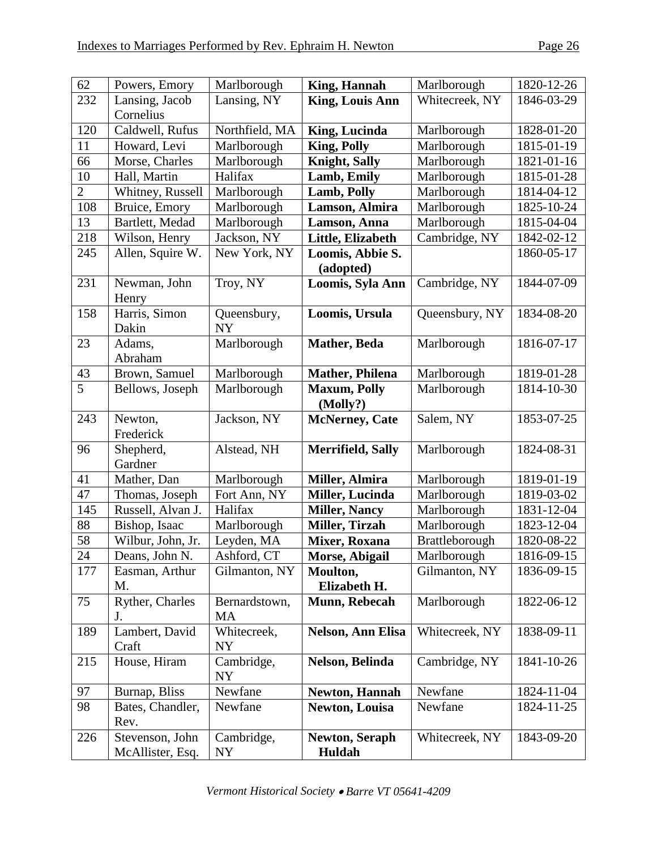| 62             | Powers, Emory     | Marlborough    | <b>King, Hannah</b>      | Marlborough    | 1820-12-26 |
|----------------|-------------------|----------------|--------------------------|----------------|------------|
| 232            | Lansing, Jacob    | Lansing, NY    | <b>King, Louis Ann</b>   | Whitecreek, NY | 1846-03-29 |
|                | Cornelius         |                |                          |                |            |
| 120            | Caldwell, Rufus   | Northfield, MA | <b>King, Lucinda</b>     | Marlborough    | 1828-01-20 |
| 11             | Howard, Levi      | Marlborough    | <b>King, Polly</b>       | Marlborough    | 1815-01-19 |
| 66             | Morse, Charles    | Marlborough    | <b>Knight, Sally</b>     | Marlborough    | 1821-01-16 |
| 10             | Hall, Martin      | Halifax        | Lamb, Emily              | Marlborough    | 1815-01-28 |
| $\overline{2}$ | Whitney, Russell  | Marlborough    | Lamb, Polly              | Marlborough    | 1814-04-12 |
| 108            | Bruice, Emory     | Marlborough    | Lamson, Almira           | Marlborough    | 1825-10-24 |
| 13             | Bartlett, Medad   | Marlborough    | Lamson, Anna             | Marlborough    | 1815-04-04 |
| 218            | Wilson, Henry     | Jackson, NY    | Little, Elizabeth        | Cambridge, NY  | 1842-02-12 |
| 245            | Allen, Squire W.  | New York, NY   | Loomis, Abbie S.         |                | 1860-05-17 |
|                |                   |                | (adopted)                |                |            |
| 231            | Newman, John      | Troy, NY       | Loomis, Syla Ann         | Cambridge, NY  | 1844-07-09 |
|                | Henry             |                |                          |                |            |
| 158            | Harris, Simon     | Queensbury,    | Loomis, Ursula           | Queensbury, NY | 1834-08-20 |
|                | Dakin             | <b>NY</b>      |                          |                |            |
| 23             | Adams,            | Marlborough    | <b>Mather</b> , Beda     | Marlborough    | 1816-07-17 |
|                | Abraham           |                |                          |                |            |
| 43             | Brown, Samuel     | Marlborough    | <b>Mather</b> , Philena  | Marlborough    | 1819-01-28 |
| 5              | Bellows, Joseph   | Marlborough    | <b>Maxum, Polly</b>      | Marlborough    | 1814-10-30 |
|                |                   |                | (Molly?)                 |                |            |
| 243            | Newton,           | Jackson, NY    | <b>McNerney</b> , Cate   | Salem, NY      | 1853-07-25 |
|                | Frederick         |                |                          |                |            |
| 96             | Shepherd,         | Alstead, NH    | <b>Merrifield, Sally</b> | Marlborough    | 1824-08-31 |
|                | Gardner           |                |                          |                |            |
| 41             | Mather, Dan       | Marlborough    | Miller, Almira           | Marlborough    | 1819-01-19 |
| 47             | Thomas, Joseph    | Fort Ann, NY   | <b>Miller, Lucinda</b>   | Marlborough    | 1819-03-02 |
| 145            | Russell, Alvan J. | Halifax        | <b>Miller, Nancy</b>     | Marlborough    | 1831-12-04 |
| 88             | Bishop, Isaac     | Marlborough    | <b>Miller, Tirzah</b>    | Marlborough    | 1823-12-04 |
| 58             | Wilbur, John, Jr. | Leyden, MA     | Mixer, Roxana            | Brattleborough | 1820-08-22 |
| 24             | Deans, John N.    | Ashford, CT    | Morse, Abigail           | Marlborough    | 1816-09-15 |
| 177            | Easman, Arthur    | Gilmanton, NY  | Moulton,                 | Gilmanton, NY  | 1836-09-15 |
|                | M.                |                | Elizabeth H.             |                |            |
| 75             | Ryther, Charles   | Bernardstown,  | Munn, Rebecah            | Marlborough    | 1822-06-12 |
|                | J.                | <b>MA</b>      |                          |                |            |
| 189            | Lambert, David    | Whitecreek,    | <b>Nelson, Ann Elisa</b> | Whitecreek, NY | 1838-09-11 |
|                | Craft             | <b>NY</b>      |                          |                |            |
| 215            | House, Hiram      | Cambridge,     | Nelson, Belinda          | Cambridge, NY  | 1841-10-26 |
|                |                   | <b>NY</b>      |                          |                |            |
| 97             | Burnap, Bliss     | Newfane        | <b>Newton, Hannah</b>    | Newfane        | 1824-11-04 |
| 98             | Bates, Chandler,  | Newfane        | <b>Newton, Louisa</b>    | Newfane        | 1824-11-25 |
|                | Rev.              |                |                          |                |            |
| 226            | Stevenson, John   | Cambridge,     | <b>Newton, Seraph</b>    | Whitecreek, NY | 1843-09-20 |
|                | McAllister, Esq.  | NY             | Huldah                   |                |            |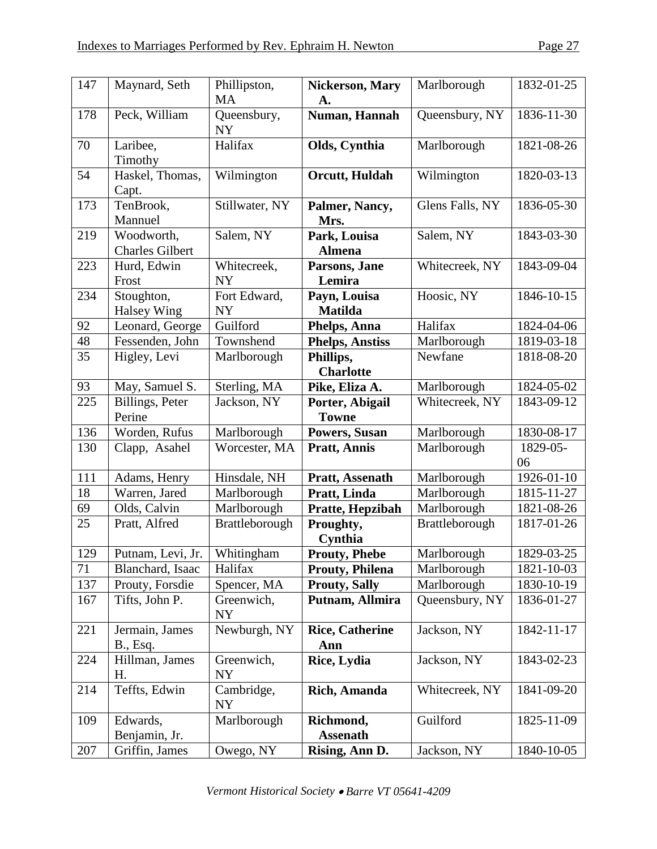| 147 | Maynard, Seth                        | Phillipston,<br><b>MA</b> | <b>Nickerson, Mary</b><br>A.    | Marlborough     | 1832-01-25     |
|-----|--------------------------------------|---------------------------|---------------------------------|-----------------|----------------|
| 178 | Peck, William                        | Queensbury,<br><b>NY</b>  | Numan, Hannah                   | Queensbury, NY  | 1836-11-30     |
| 70  | Laribee,<br>Timothy                  | Halifax                   | Olds, Cynthia                   | Marlborough     | 1821-08-26     |
| 54  | Haskel, Thomas,<br>Capt.             | Wilmington                | Orcutt, Huldah                  | Wilmington      | 1820-03-13     |
| 173 | TenBrook,<br>Mannuel                 | Stillwater, NY            | Palmer, Nancy,<br>Mrs.          | Glens Falls, NY | 1836-05-30     |
| 219 | Woodworth,<br><b>Charles Gilbert</b> | Salem, NY                 | Park, Louisa<br><b>Almena</b>   | Salem, NY       | 1843-03-30     |
| 223 | Hurd, Edwin<br>Frost                 | Whitecreek,<br><b>NY</b>  | Parsons, Jane<br>Lemira         | Whitecreek, NY  | 1843-09-04     |
| 234 | Stoughton,<br><b>Halsey Wing</b>     | Fort Edward,<br><b>NY</b> | Payn, Louisa<br><b>Matilda</b>  | Hoosic, NY      | 1846-10-15     |
| 92  | Leonard, George                      | Guilford                  | Phelps, Anna                    | Halifax         | 1824-04-06     |
| 48  | Fessenden, John                      | Townshend                 | <b>Phelps, Anstiss</b>          | Marlborough     | 1819-03-18     |
| 35  | Higley, Levi                         | Marlborough               | Phillips,<br><b>Charlotte</b>   | Newfane         | 1818-08-20     |
| 93  | May, Samuel S.                       | Sterling, MA              | Pike, Eliza A.                  | Marlborough     | 1824-05-02     |
| 225 | Billings, Peter<br>Perine            | Jackson, NY               | Porter, Abigail<br><b>Towne</b> | Whitecreek, NY  | 1843-09-12     |
| 136 | Worden, Rufus                        | Marlborough               | Powers, Susan                   | Marlborough     | 1830-08-17     |
| 130 | Clapp, Asahel                        | Worcester, MA             | <b>Pratt, Annis</b>             | Marlborough     | 1829-05-<br>06 |
| 111 | Adams, Henry                         | Hinsdale, NH              | Pratt, Assenath                 | Marlborough     | 1926-01-10     |
| 18  | Warren, Jared                        | Marlborough               | Pratt, Linda                    | Marlborough     | 1815-11-27     |
| 69  | Olds, Calvin                         | Marlborough               | Pratte, Hepzibah                | Marlborough     | 1821-08-26     |
| 25  | Pratt, Alfred                        | Brattleborough            | Proughty,<br>Cynthia            | Brattleborough  | 1817-01-26     |
| 129 | Putnam, Levi, Jr.                    | Whitingham                | <b>Prouty, Phebe</b>            | Marlborough     | 1829-03-25     |
| 71  | Blanchard, Isaac                     | Halifax                   | <b>Prouty, Philena</b>          | Marlborough     | 1821-10-03     |
| 137 | Prouty, Forsdie                      | Spencer, MA               | <b>Prouty, Sally</b>            | Marlborough     | 1830-10-19     |
| 167 | Tifts, John P.                       | Greenwich,<br><b>NY</b>   | Putnam, Allmira                 | Queensbury, NY  | 1836-01-27     |
| 221 | Jermain, James<br>B., Esq.           | Newburgh, NY              | <b>Rice, Catherine</b><br>Ann   | Jackson, NY     | 1842-11-17     |
| 224 | Hillman, James<br>Η.                 | Greenwich,<br>NY          | Rice, Lydia                     | Jackson, NY     | 1843-02-23     |
| 214 | Teffts, Edwin                        | Cambridge,<br>NY          | Rich, Amanda                    | Whitecreek, NY  | 1841-09-20     |
| 109 | Edwards,<br>Benjamin, Jr.            | Marlborough               | Richmond,<br><b>Assenath</b>    | Guilford        | 1825-11-09     |
| 207 | Griffin, James                       | Owego, NY                 | Rising, Ann D.                  | Jackson, NY     | 1840-10-05     |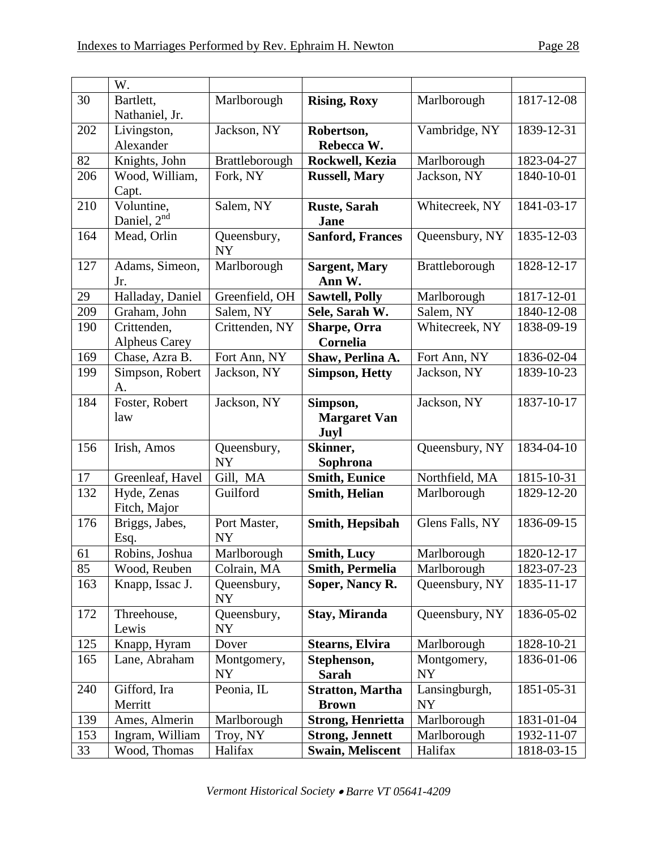|     | W.                          |                          |                          |                 |            |
|-----|-----------------------------|--------------------------|--------------------------|-----------------|------------|
| 30  | Bartlett,                   | Marlborough              | <b>Rising, Roxy</b>      | Marlborough     | 1817-12-08 |
|     | Nathaniel, Jr.              |                          |                          |                 |            |
| 202 | Livingston,                 | Jackson, NY              | Robertson,               | Vambridge, NY   | 1839-12-31 |
|     | Alexander                   |                          | Rebecca W.               |                 |            |
| 82  | Knights, John               | Brattleborough           | Rockwell, Kezia          | Marlborough     | 1823-04-27 |
| 206 | Wood, William,              | Fork, NY                 | <b>Russell, Mary</b>     | Jackson, NY     | 1840-10-01 |
|     | Capt.                       |                          |                          |                 |            |
| 210 | Voluntine,                  | Salem, NY                | <b>Ruste, Sarah</b>      | Whitecreek, NY  | 1841-03-17 |
|     | Daniel, 2 <sup>nd</sup>     |                          | <b>Jane</b>              |                 |            |
| 164 | Mead, Orlin                 | Queensbury,<br><b>NY</b> | <b>Sanford, Frances</b>  | Queensbury, NY  | 1835-12-03 |
| 127 | Adams, Simeon,              | Marlborough              | <b>Sargent, Mary</b>     | Brattleborough  | 1828-12-17 |
|     | Jr.                         |                          | Ann W.                   |                 |            |
| 29  | Halladay, Daniel            | Greenfield, OH           | <b>Sawtell, Polly</b>    | Marlborough     | 1817-12-01 |
| 209 | Graham, John                | Salem, NY                | Sele, Sarah W.           | Salem, NY       | 1840-12-08 |
| 190 | Crittenden,                 | Crittenden, NY           | Sharpe, Orra             | Whitecreek, NY  | 1838-09-19 |
|     | <b>Alpheus Carey</b>        |                          | Cornelia                 |                 |            |
| 169 | Chase, Azra B.              | Fort Ann, NY             | Shaw, Perlina A.         | Fort Ann, NY    | 1836-02-04 |
| 199 | Simpson, Robert             | Jackson, NY              | <b>Simpson, Hetty</b>    | Jackson, NY     | 1839-10-23 |
|     | A.                          |                          |                          |                 |            |
| 184 | Foster, Robert              | Jackson, NY              | Simpson,                 | Jackson, NY     | 1837-10-17 |
|     | law                         |                          | <b>Margaret Van</b>      |                 |            |
|     |                             |                          | Juyl                     |                 |            |
| 156 | Irish, Amos                 | Queensbury,              | Skinner,                 | Queensbury, NY  | 1834-04-10 |
|     |                             | <b>NY</b>                | Sophrona                 |                 |            |
| 17  | Greenleaf, Havel            | Gill, MA                 | <b>Smith, Eunice</b>     | Northfield, MA  | 1815-10-31 |
| 132 | Hyde, Zenas<br>Fitch, Major | Guilford                 | Smith, Helian            | Marlborough     | 1829-12-20 |
| 176 | Briggs, Jabes,              | Port Master,             | Smith, Hepsibah          | Glens Falls, NY | 1836-09-15 |
|     | Esq.                        | <b>NY</b>                |                          |                 |            |
| 61  | Robins, Joshua              | Marlborough              | <b>Smith, Lucy</b>       | Marlborough     | 1820-12-17 |
| 85  | Wood, Reuben                | Colrain, MA              | <b>Smith, Permelia</b>   | Marlborough     | 1823-07-23 |
| 163 | Knapp, Issac J.             | Queensbury,<br>NY        | Soper, Nancy R.          | Queensbury, NY  | 1835-11-17 |
| 172 | Threehouse,                 | Queensbury,              | Stay, Miranda            | Queensbury, NY  | 1836-05-02 |
|     | Lewis                       | <b>NY</b>                |                          |                 |            |
| 125 | Knapp, Hyram                | Dover                    | <b>Stearns, Elvira</b>   | Marlborough     | 1828-10-21 |
| 165 | Lane, Abraham               | Montgomery,              | Stephenson,              | Montgomery,     | 1836-01-06 |
|     |                             | <b>NY</b>                | <b>Sarah</b>             | <b>NY</b>       |            |
| 240 | Gifford, Ira                | Peonia, IL               | <b>Stratton, Martha</b>  | Lansingburgh,   | 1851-05-31 |
|     | Merritt                     |                          | <b>Brown</b>             | <b>NY</b>       |            |
| 139 | Ames, Almerin               | Marlborough              | <b>Strong, Henrietta</b> | Marlborough     | 1831-01-04 |
| 153 | Ingram, William             | Troy, NY                 | <b>Strong, Jennett</b>   | Marlborough     | 1932-11-07 |
| 33  | Wood, Thomas                | Halifax                  | <b>Swain, Meliscent</b>  | Halifax         | 1818-03-15 |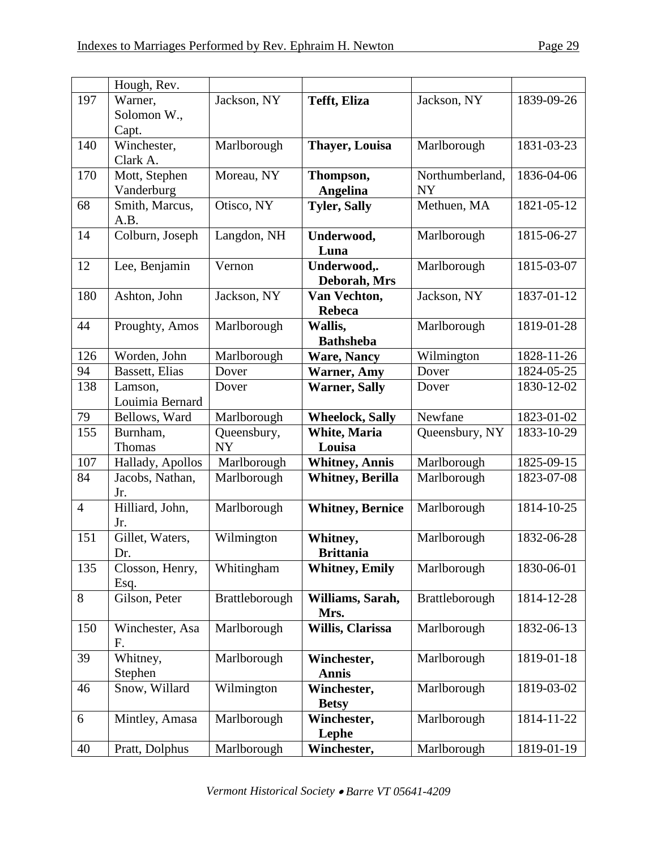|                | Hough, Rev.      |                |                         |                 |            |
|----------------|------------------|----------------|-------------------------|-----------------|------------|
| 197            | Warner,          | Jackson, NY    | <b>Tefft</b> , Eliza    | Jackson, NY     | 1839-09-26 |
|                | Solomon W.,      |                |                         |                 |            |
|                | Capt.            |                |                         |                 |            |
| 140            | Winchester,      | Marlborough    | <b>Thaver, Louisa</b>   | Marlborough     | 1831-03-23 |
|                | Clark A.         |                |                         |                 |            |
| 170            | Mott, Stephen    | Moreau, NY     | Thompson,               | Northumberland, | 1836-04-06 |
|                | Vanderburg       |                | <b>Angelina</b>         | <b>NY</b>       |            |
| 68             | Smith, Marcus,   | Otisco, NY     | <b>Tyler, Sally</b>     | Methuen, MA     | 1821-05-12 |
|                | A.B.             |                |                         |                 |            |
| 14             | Colburn, Joseph  | Langdon, NH    | Underwood,              | Marlborough     | 1815-06-27 |
|                |                  |                | Luna                    |                 |            |
| 12             | Lee, Benjamin    | Vernon         | Underwood,.             | Marlborough     | 1815-03-07 |
|                |                  |                | Deborah, Mrs            |                 |            |
| 180            | Ashton, John     | Jackson, NY    | Van Vechton,            | Jackson, NY     | 1837-01-12 |
|                |                  |                | Rebeca                  |                 |            |
| 44             | Proughty, Amos   | Marlborough    | Wallis,                 | Marlborough     | 1819-01-28 |
|                |                  |                | <b>Bathsheba</b>        |                 |            |
| 126            | Worden, John     | Marlborough    | <b>Ware, Nancy</b>      | Wilmington      | 1828-11-26 |
| 94             | Bassett, Elias   | Dover          | <b>Warner, Amy</b>      | Dover           | 1824-05-25 |
| 138            | Lamson,          | Dover          | <b>Warner, Sally</b>    | Dover           | 1830-12-02 |
|                | Louimia Bernard  |                |                         |                 |            |
| 79             | Bellows, Ward    | Marlborough    | <b>Wheelock, Sally</b>  | Newfane         | 1823-01-02 |
| 155            | Burnham,         | Queensbury,    | <b>White, Maria</b>     | Queensbury, NY  | 1833-10-29 |
|                | Thomas           | <b>NY</b>      | Louisa                  |                 |            |
| 107            | Hallady, Apollos | Marlborough    | <b>Whitney, Annis</b>   | Marlborough     | 1825-09-15 |
| 84             | Jacobs, Nathan,  | Marlborough    | <b>Whitney, Berilla</b> | Marlborough     | 1823-07-08 |
|                | Jr.              |                |                         |                 |            |
| $\overline{4}$ | Hilliard, John,  | Marlborough    | <b>Whitney, Bernice</b> | Marlborough     | 1814-10-25 |
|                | Jr.              |                |                         |                 |            |
| 151            | Gillet, Waters,  | Wilmington     | Whitney,                | Marlborough     | 1832-06-28 |
|                | Dr.              |                | <b>Brittania</b>        |                 |            |
| 135            | Closson, Henry,  | Whitingham     | <b>Whitney, Emily</b>   | Marlborough     | 1830-06-01 |
|                | Esq.             |                |                         |                 |            |
| 8              | Gilson, Peter    | Brattleborough | Williams, Sarah,        | Brattleborough  | 1814-12-28 |
|                |                  |                | Mrs.                    |                 |            |
| 150            | Winchester, Asa  | Marlborough    | Willis, Clarissa        | Marlborough     | 1832-06-13 |
|                | F.               |                |                         |                 |            |
| 39             | Whitney,         | Marlborough    | Winchester,             | Marlborough     | 1819-01-18 |
|                | Stephen          |                | <b>Annis</b>            |                 |            |
| 46             | Snow, Willard    | Wilmington     | Winchester,             | Marlborough     | 1819-03-02 |
|                |                  |                | <b>Betsy</b>            |                 |            |
| 6              | Mintley, Amasa   | Marlborough    | Winchester,             | Marlborough     | 1814-11-22 |
|                |                  |                | Lephe                   |                 |            |
| 40             | Pratt, Dolphus   | Marlborough    | Winchester,             | Marlborough     | 1819-01-19 |